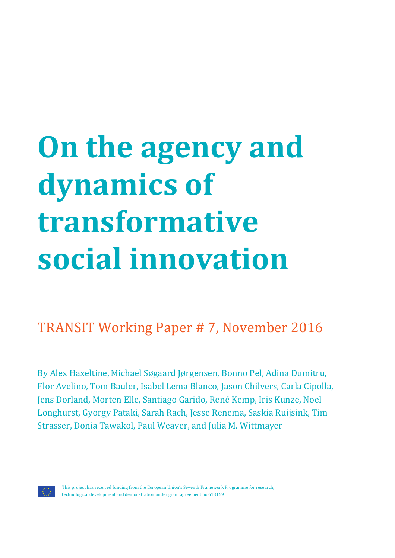# **On the agency and dynamics of transformative social innovation**

# TRANSIT Working Paper # 7, November 2016

By Alex Haxeltine, Michael Søgaard Jørgensen, Bonno Pel, Adina Dumitru, Flor Avelino, Tom Bauler, Isabel Lema Blanco, Jason Chilvers, Carla Cipolla, Jens Dorland, Morten Elle, Santiago Garido, René Kemp, Iris Kunze, Noel Longhurst, Gyorgy Pataki, Sarah Rach, Jesse Renema, Saskia Ruijsink, Tim Strasser, Donia Tawakol, Paul Weaver, and Julia M. Wittmayer

This project has received funding from the European Union's Seventh Framework Programme for research, technological development and demonstration under grant agreement no 613169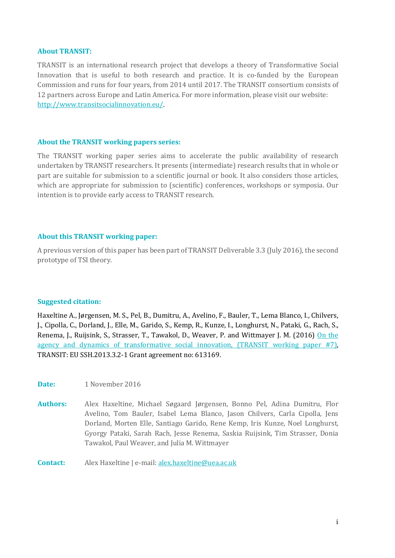#### **About TRANSIT:**

TRANSIT is an international research project that develops a theory of Transformative Social Innovation that is useful to both research and practice. It is co-funded by the European Commission and runs for four years, from 2014 until 2017. The TRANSIT consortium consists of 12 partners across Europe and Latin America. For more information, please visit our website: [http://www.transitsocialinnovation.eu/.](http://www.transitsocialinnovation.eu/)

#### **About the TRANSIT working papers series:**

The TRANSIT working paper series aims to accelerate the public availability of research undertaken by TRANSIT researchers. It presents (intermediate) research results that in whole or part are suitable for submission to a scientific journal or book. It also considers those articles, which are appropriate for submission to (scientific) conferences, workshops or symposia. Our intention is to provide early access to TRANSIT research.

#### **About this TRANSIT working paper:**

A previous version of this paper has been part of TRANSIT Deliverable 3.3 (July 2016), the second prototype of TSI theory.

#### **Suggested citation:**

Haxeltine A., Jørgensen, M. S., Pel, B., Dumitru, A., Avelino, F., Bauler, T., Lema Blanco, I., Chilvers, J., Cipolla, C., Dorland, J., Elle, M., Garido, S., Kemp, R., Kunze, I., Longhurst, N., Pataki, G., Rach, S., Renema, J., Ruijsink, S., Strasser, T., Tawakol, D., Weaver, P. and Wittmayer J. M. (2016) On the [agency and dynamics of transformative social innovation, \(TRANSIT working paper #7\),](http://www.transitsocialinnovation.eu/content/original/Book%20covers/Local%20PDFs/242%20TRANSIT%20WorkingPaper_no_7_TSI%20Propositions_Haxeltine%20et%20al_November2016_AH251116.pdf)  TRANSIT: EU SSH.2013.3.2-1 Grant agreement no: 613169.

**Date:** 1 November 2016

**Authors:** Alex Haxeltine, Michael Søgaard Jørgensen, Bonno Pel, Adina Dumitru, Flor Avelino, Tom Bauler, Isabel Lema Blanco, Jason Chilvers, Carla Cipolla, Jens Dorland, Morten Elle, Santiago Garido, Rene Kemp, Iris Kunze, Noel Longhurst, Gyorgy Pataki, Sarah Rach, Jesse Renema, Saskia Ruijsink, Tim Strasser, Donia Tawakol, Paul Weaver, and Julia M. Wittmayer

**Contact:** Alex Haxeltine | e-mail[: alex.haxeltine@uea.ac.uk](mailto:alex.haxeltine@uea.ac.uk)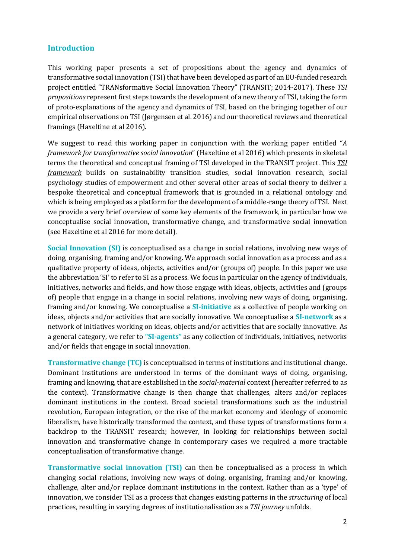#### **Introduction**

This working paper presents a set of propositions about the agency and dynamics of transformative social innovation (TSI) that have been developed as part of an EU-funded research project entitled "TRANsformative Social Innovation Theory" (TRANSIT; 2014-2017). These *TSI propositions* represent first steps towards the development of a new theory of TSI, taking the form of proto-explanations of the agency and dynamics of TSI, based on the bringing together of our empirical observations on TSI (Jørgensen et al. 2016) and our theoretical reviews and theoretical framings (Haxeltine et al 2016).

We suggest to read this working paper in conjunction with the working paper entitled "*A framework for transformative social innovation*" (Haxeltine et al 2016) which presents in skeletal terms the theoretical and conceptual framing of TSI developed in the TRANSIT project. This *TSI framework* builds on sustainability transition studies, social innovation research, social psychology studies of empowerment and other several other areas of social theory to deliver a bespoke theoretical and conceptual framework that is grounded in a relational ontology and which is being employed as a platform for the development of a middle-range theory of TSI. Next we provide a very brief overview of some key elements of the framework, in particular how we conceptualise social innovation, transformative change, and transformative social innovation (see Haxeltine et al 2016 for more detail).

**Social Innovation (SI)** is conceptualised as a change in social relations, involving new ways of doing, organising, framing and/or knowing. We approach social innovation as a process and as a qualitative property of ideas, objects, activities and/or (groups of) people. In this paper we use the abbreviation 'SI' to refer to SI as a process. We focus in particular on the agency of individuals, initiatives, networks and fields, and how those engage with ideas, objects, activities and (groups of) people that engage in a change in social relations, involving new ways of doing, organising, framing and/or knowing. We conceptualise a **SI-initiative** as a collective of people working on ideas, objects and/or activities that are socially innovative. We conceptualise a **SI-network** as a network of initiatives working on ideas, objects and/or activities that are socially innovative. As a general category, we refer to **"SI-agents"** as any collection of individuals, initiatives, networks and/or fields that engage in social innovation.

**Transformative change (TC)** is conceptualised in terms of institutions and institutional change. Dominant institutions are understood in terms of the dominant ways of doing, organising, framing and knowing, that are established in the *social-material* context (hereafter referred to as the context). Transformative change is then change that challenges, alters and/or replaces dominant institutions in the context. Broad societal transformations such as the industrial revolution, European integration, or the rise of the market economy and ideology of economic liberalism, have historically transformed the context, and these types of transformations form a backdrop to the TRANSIT research; however, in looking for relationships between social innovation and transformative change in contemporary cases we required a more tractable conceptualisation of transformative change.

**Transformative social innovation (TSI)** can then be conceptualised as a process in which changing social relations, involving new ways of doing, organising, framing and/or knowing, challenge, alter and/or replace dominant institutions in the context. Rather than as a 'type' of innovation, we consider TSI as a process that changes existing patterns in the *structuring* of local practices, resulting in varying degrees of institutionalisation as a *TSI journey* unfolds.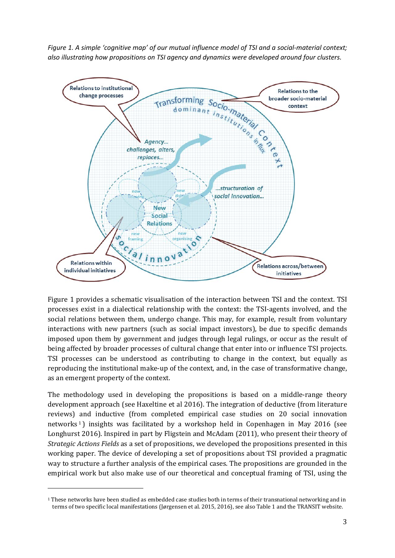*Figure 1. A simple 'cognitive map' of our mutual influence model of TSI and a social-material context; also illustrating how propositions on TSI agency and dynamics were developed around four clusters.*



Figure 1 provides a schematic visualisation of the interaction between TSI and the context. TSI processes exist in a dialectical relationship with the context: the TSI-agents involved, and the social relations between them, undergo change. This may, for example, result from voluntary interactions with new partners (such as social impact investors), be due to specific demands imposed upon them by government and judges through legal rulings, or occur as the result of being affected by broader processes of cultural change that enter into or influence TSI projects. TSI processes can be understood as contributing to change in the context, but equally as reproducing the institutional make-up of the context, and, in the case of transformative change, as an emergent property of the context.

The methodology used in developing the propositions is based on a middle-range theory development approach (see Haxeltine et al 2016). The integration of deductive (from literature reviews) [a](#page-3-0)nd inductive (from completed empirical case studies on 20 social innovation networks<sup>1</sup>) insights was facilitated by a workshop held in Copenhagen in May 2016 (see Longhurst 2016). Inspired in part by Fligstein and McAdam (2011), who present their theory of *Strategic Actions Fields* as a set of propositions, we developed the propositions presented in this working paper. The device of developing a set of propositions about TSI provided a pragmatic way to structure a further analysis of the empirical cases. The propositions are grounded in the empirical work but also make use of our theoretical and conceptual framing of TSI, using the

j

<span id="page-3-0"></span><sup>&</sup>lt;sup>1</sup> These networks have been studied as embedded case studies both in terms of their transnational networking and in terms of two specific local manifestations (Jørgensen et al. 2015, 2016), see also Table 1 and the TRANSIT website.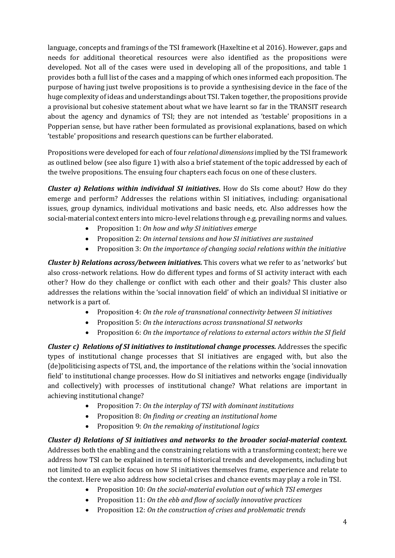language, concepts and framings of the TSI framework (Haxeltine et al 2016). However, gaps and needs for additional theoretical resources were also identified as the propositions were developed. Not all of the cases were used in developing all of the propositions, and table 1 provides both a full list of the cases and a mapping of which ones informed each proposition. The purpose of having just twelve propositions is to provide a synthesising device in the face of the huge complexity of ideas and understandings about TSI. Taken together, the propositions provide a provisional but cohesive statement about what we have learnt so far in the TRANSIT research about the agency and dynamics of TSI; they are not intended as 'testable' propositions in a Popperian sense, but have rather been formulated as provisional explanations, based on which 'testable' propositions and research questions can be further elaborated.

Propositions were developed for each of four *relational dimensions*implied by the TSI framework as outlined below (see also figure 1) with also a brief statement of the topic addressed by each of the twelve propositions. The ensuing four chapters each focus on one of these clusters.

*Cluster a) Relations within individual SI initiatives.* **How do SIs come about? How do they** emerge and perform? Addresses the relations within SI initiatives, including: organisational issues, group dynamics, individual motivations and basic needs, etc. Also addresses how the social-material context enters into micro-level relations through e.g. prevailing norms and values.

- Proposition 1: *On how and why SI initiatives emerge*
- Proposition 2: *On internal tensions and how SI initiatives are sustained*
- Proposition 3: *On the importance of changing social relations within the initiative*

*Cluster b) Relations across/between initiatives.* This covers what we refer to as 'networks' but also cross-network relations. How do different types and forms of SI activity interact with each other? How do they challenge or conflict with each other and their goals? This cluster also addresses the relations within the 'social innovation field' of which an individual SI initiative or network is a part of.

- Proposition 4: *On the role of transnational connectivity between SI initiatives*
- Proposition 5: *On the interactions across transnational SI networks*
- Proposition 6: *On the importance of relations to external actors within the SI field*

*Cluster c) Relations of SI initiatives to institutional change processes.* Addresses the specific types of institutional change processes that SI initiatives are engaged with, but also the (de)politicising aspects of TSI, and, the importance of the relations within the 'social innovation field' to institutional change processes. How do SI initiatives and networks engage (individually and collectively) with processes of institutional change? What relations are important in achieving institutional change?

- Proposition 7: *On the interplay of TSI with dominant institutions*
- Proposition 8: *On finding or creating an institutional home*
- Proposition 9: *On the remaking of institutional logics*

*Cluster d) Relations of SI initiatives and networks to the broader social-material context.* Addresses both the enabling and the constraining relations with a transforming context; here we address how TSI can be explained in terms of historical trends and developments, including but not limited to an explicit focus on how SI initiatives themselves frame, experience and relate to the context. Here we also address how societal crises and chance events may play a role in TSI.

- Proposition 10: *On the social-material evolution out of which TSI emerges*
- Proposition 11: *On the ebb and flow of socially innovative practices*
- Proposition 12: *On the construction of crises and problematic trends*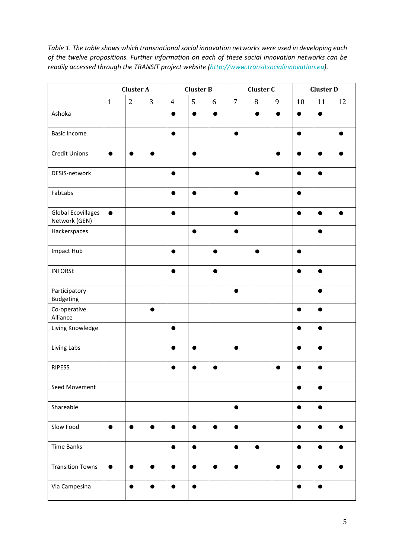*Table 1. The table shows which transnational social innovation networks were used in developing each of the twelve propositions. Further information on each of these social innovation networks can be readily accessed through the TRANSIT project website [\(http://www.transitsocialinnovation.eu\)](http://www.transitsocialinnovation.eu/).*

|                                            | <b>Cluster A</b> |                |           | <b>Cluster B</b> |           |           | Cluster C      |           |             | <b>Cluster D</b> |           |           |
|--------------------------------------------|------------------|----------------|-----------|------------------|-----------|-----------|----------------|-----------|-------------|------------------|-----------|-----------|
|                                            | $\mathbf{1}$     | $\overline{2}$ | 3         | $\overline{4}$   | 5         | $6\,$     | $\overline{7}$ | $\, 8$    | $\mathbf 9$ | $10\,$           | 11        | 12        |
| Ashoka                                     |                  |                |           | $\bullet$        | $\bullet$ | $\bullet$ |                |           |             | $\bullet$        | $\bullet$ |           |
| <b>Basic Income</b>                        |                  |                |           | $\bullet$        |           |           |                |           |             |                  |           |           |
| <b>Credit Unions</b>                       | $\bullet$        | $\bullet$      |           |                  |           |           |                |           |             |                  |           |           |
| DESIS-network                              |                  |                |           | ●                |           |           |                |           |             | ●                |           |           |
| FabLabs                                    |                  |                |           | $\bullet$        |           |           | ●              |           |             | ●                |           |           |
| <b>Global Ecovillages</b><br>Network (GEN) | $\bullet$        |                |           | $\bullet$        |           |           |                |           |             | ●                |           |           |
| Hackerspaces                               |                  |                |           |                  |           |           |                |           |             |                  |           |           |
| Impact Hub                                 |                  |                |           |                  |           | C         |                |           |             |                  |           |           |
| <b>INFORSE</b>                             |                  |                |           |                  |           | $\bullet$ |                |           |             |                  |           |           |
| Participatory<br>Budgeting                 |                  |                |           |                  |           |           |                |           |             |                  |           |           |
| Co-operative<br>Alliance                   |                  |                | $\bullet$ |                  |           |           |                |           |             |                  |           |           |
| Living Knowledge                           |                  |                |           | $\bullet$        |           |           |                |           |             |                  |           |           |
| Living Labs                                |                  |                |           | п                |           |           |                |           |             |                  |           |           |
| <b>RIPESS</b>                              |                  |                |           |                  |           |           |                |           |             |                  |           |           |
| Seed Movement                              |                  |                |           |                  |           |           |                |           |             | $\bullet$        | $\bullet$ |           |
| Shareable                                  |                  |                |           |                  |           |           | $\bullet$      |           |             | $\bullet$        | $\bullet$ |           |
| Slow Food                                  | $\bullet$        | $\bullet$      | $\bullet$ | $\bullet$        | $\bullet$ | $\bullet$ | $\bullet$      |           |             | $\bullet$        | $\bullet$ | $\bullet$ |
| <b>Time Banks</b>                          |                  |                |           | $\bullet$        | $\bullet$ |           | $\bullet$      | $\bullet$ |             | $\bullet$        | $\bullet$ | $\bullet$ |
| <b>Transition Towns</b>                    | $\bullet$        | $\bullet$      | $\bullet$ | $\bullet$        | $\bullet$ | $\bullet$ | $\bullet$      |           | $\bullet$   | $\bullet$        | $\bullet$ | $\bullet$ |
| Via Campesina                              |                  | $\bullet$      | $\bullet$ | $\bullet$        | $\bullet$ |           |                |           |             | $\bullet$        | $\bullet$ |           |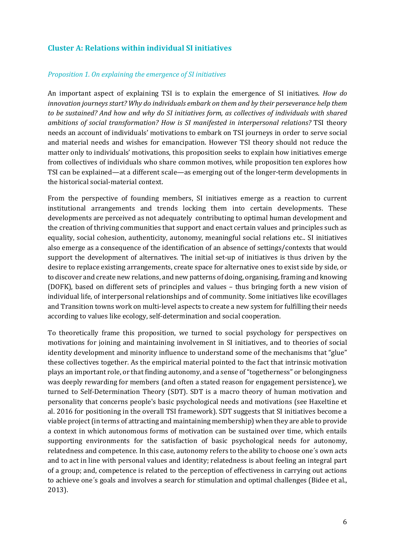# **Cluster A: Relations within individual SI initiatives**

#### *Proposition 1. On explaining the emergence of SI initiatives*

An important aspect of explaining TSI is to explain the emergence of SI initiatives. *How do innovation journeys start? Why do individuals embark on them and by their perseverance help them to be sustained? And how and why do SI initiatives form, as collectives of individuals with shared ambitions of social transformation? How is SI manifested in interpersonal relations?* TSI theory needs an account of individuals' motivations to embark on TSI journeys in order to serve social and material needs and wishes for emancipation. However TSI theory should not reduce the matter only to individuals' motivations, this proposition seeks to explain how initiatives emerge from collectives of individuals who share common motives, while proposition ten explores how TSI can be explained—at a different scale—as emerging out of the longer-term developments in the historical social-material context.

From the perspective of founding members, SI initiatives emerge as a reaction to current institutional arrangements and trends locking them into certain developments. These developments are perceived as not adequately contributing to optimal human development and the creation of thriving communities that support and enact certain values and principles such as equality, social cohesion, authenticity, autonomy, meaningful social relations etc.. SI initiatives also emerge as a consequence of the identification of an absence of settings/contexts that would support the development of alternatives. The initial set-up of initiatives is thus driven by the desire to replace existing arrangements, create space for alternative ones to exist side by side, or to discover and create new relations, and new patterns of doing, organising, framing and knowing (DOFK), based on different sets of principles and values – thus bringing forth a new vision of individual life, of interpersonal relationships and of community. Some initiatives like ecovillages and Transition towns work on multi-level aspects to create a new system for fulfilling their needs according to values like ecology, self-determination and social cooperation.

To theoretically frame this proposition, we turned to social psychology for perspectives on motivations for joining and maintaining involvement in SI initiatives, and to theories of social identity development and minority influence to understand some of the mechanisms that "glue" these collectives together. As the empirical material pointed to the fact that intrinsic motivation plays an important role, or that finding autonomy, and a sense of "togetherness" or belongingness was deeply rewarding for members (and often a stated reason for engagement persistence), we turned to Self-Determination Theory (SDT). SDT is a macro theory of human motivation and personality that concerns people's basic psychological needs and motivations (see Haxeltine et al. 2016 for positioning in the overall TSI framework). SDT suggests that SI initiatives become a viable project (in terms of attracting and maintaining membership) when they are able to provide a context in which autonomous forms of motivation can be sustained over time, which entails supporting environments for the satisfaction of basic psychological needs for autonomy, relatedness and competence. In this case, autonomy refers to the ability to choose one´s own acts and to act in line with personal values and identity; relatedness is about feeling an integral part of a group; and, competence is related to the perception of effectiveness in carrying out actions to achieve one´s goals and involves a search for stimulation and optimal challenges (Bidee et al., 2013).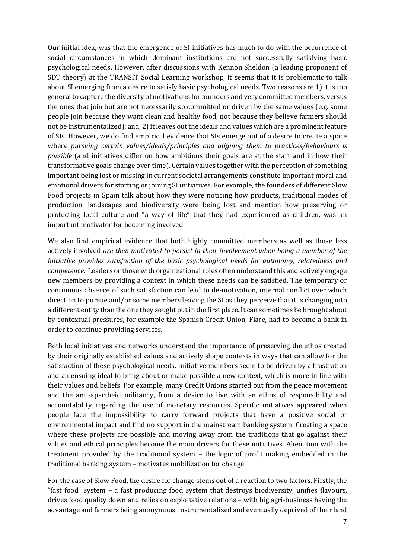Our initial idea, was that the emergence of SI initiatives has much to do with the occurrence of social circumstances in which dominant institutions are not successfully satisfying basic psychological needs. However, after discussions with Kennon Sheldon (a leading proponent of SDT theory) at the TRANSIT Social Learning workshop, it seems that it is problematic to talk about SI emerging from a desire to satisfy basic psychological needs. Two reasons are 1) it is too general to capture the diversity of motivations for founders and very committed members, versus the ones that join but are not necessarily so committed or driven by the same values (e.g. some people join because they want clean and healthy food, not because they believe farmers should not be instrumentalized); and, 2) it leaves out the ideals and values which are a prominent feature of SIs. However, we do find empirical evidence that SIs emerge out of a desire to create a space where *pursuing certain values/ideals/principles and aligning them to practices/behaviours is possible* (and initiatives differ on how ambitious their goals are at the start and in how their transformative goals change over time). Certain values together with the perception of something important being lost or missing in current societal arrangements constitute important moral and emotional drivers for starting or joining SI initiatives. For example, the founders of different Slow Food projects in Spain talk about how they were noticing how products, traditional modes of production, landscapes and biodiversity were being lost and mention how preserving or protecting local culture and "a way of life" that they had experienced as children, was an important motivator for becoming involved.

We also find empirical evidence that both highly committed members as well as those less actively involved *are then motivated to persist in their involvement when being a member of the initiative provides satisfaction of the basic psychological needs for autonomy, relatedness and competence.* Leaders or those with organizational roles often understand this and actively engage new members by providing a context in which these needs can be satisfied. The temporary or continuous absence of such satisfaction can lead to de-motivation, internal conflict over which direction to pursue and/or some members leaving the SI as they perceive that it is changing into a different entity than the one they sought out in the first place. It can sometimes be brought about by contextual pressures, for example the Spanish Credit Union, Fiare, had to become a bank in order to continue providing services.

Both local initiatives and networks understand the importance of preserving the ethos created by their originally established values and actively shape contexts in ways that can allow for the satisfaction of these psychological needs. Initiative members seem to be driven by a frustration and an ensuing ideal to bring about or make possible a new context, which is more in line with their values and beliefs. For example, many Credit Unions started out from the peace movement and the anti-apartheid militancy, from a desire to live with an ethos of responsibility and accountability regarding the use of monetary resources. Specific initiatives appeared when people face the impossibility to carry forward projects that have a positive social or environmental impact and find no support in the mainstream banking system. Creating a space where these projects are possible and moving away from the traditions that go against their values and ethical principles become the main drivers for these initiatives. Alienation with the treatment provided by the traditional system – the logic of profit making embedded in the traditional banking system – motivates mobilization for change.

For the case of Slow Food, the desire for change stems out of a reaction to two factors. Firstly, the "fast food" system – a fast producing food system that destroys biodiversity, unifies flavours, drives food quality down and relies on exploitative relations – with big agri-business having the advantage and farmers being anonymous, instrumentalized and eventually deprived of their land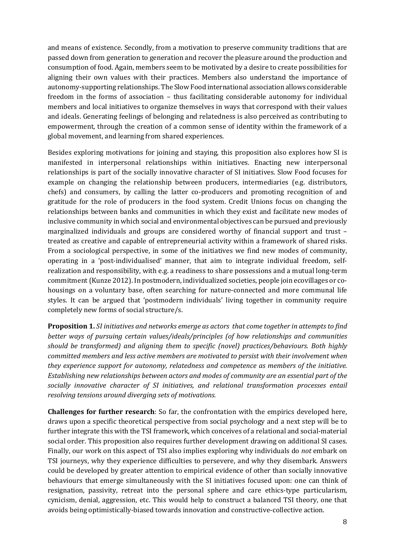and means of existence. Secondly, from a motivation to preserve community traditions that are passed down from generation to generation and recover the pleasure around the production and consumption of food. Again, members seem to be motivated by a desire to create possibilities for aligning their own values with their practices. Members also understand the importance of autonomy-supporting relationships. The Slow Food international association allows considerable freedom in the forms of association – thus facilitating considerable autonomy for individual members and local initiatives to organize themselves in ways that correspond with their values and ideals. Generating feelings of belonging and relatedness is also perceived as contributing to empowerment, through the creation of a common sense of identity within the framework of a global movement, and learning from shared experiences.

Besides exploring motivations for joining and staying, this proposition also explores how SI is manifested in interpersonal relationships within initiatives. Enacting new interpersonal relationships is part of the socially innovative character of SI initiatives. Slow Food focuses for example on changing the relationship between producers, intermediaries (e.g. distributors, chefs) and consumers, by calling the latter co-producers and promoting recognition of and gratitude for the role of producers in the food system. Credit Unions focus on changing the relationships between banks and communities in which they exist and facilitate new modes of inclusive community in which social and environmental objectives can be pursued and previously marginalized individuals and groups are considered worthy of financial support and trust – treated as creative and capable of entrepreneurial activity within a framework of shared risks. From a sociological perspective, in some of the initiatives we find new modes of community, operating in a 'post-individualised' manner, that aim to integrate individual freedom, selfrealization and responsibility, with e.g. a readiness to share possessions and a mutual long-term commitment (Kunze 2012). In postmodern, individualized societies, people join ecovillages or cohousings on a voluntary base, often searching for nature-connected and more communal life styles. It can be argued that 'postmodern individuals' living together in community require completely new forms of social structure/s.

**Proposition 1.** *SI initiatives and networks emerge as actors that come together in attempts to find better ways of pursuing certain values/ideals/principles (of how relationships and communities should be transformed) and aligning them to specific (novel) practices/behaviours. Both highly committed members and less active members are motivated to persist with their involvement when they experience support for autonomy, relatedness and competence as members of the initiative. Establishing new relationships between actors and modes of community are an essential part of the socially innovative character of SI initiatives, and relational transformation processes entail resolving tensions around diverging sets of motivations.* 

**Challenges for further research**: So far, the confrontation with the empirics developed here, draws upon a specific theoretical perspective from social psychology and a next step will be to further integrate this with the TSI framework, which conceives of a relational and social-material social order. This proposition also requires further development drawing on additional SI cases. Finally, our work on this aspect of TSI also implies exploring why individuals do *not* embark on TSI journeys, why they experience difficulties to persevere, and why they disembark. Answers could be developed by greater attention to empirical evidence of other than socially innovative behaviours that emerge simultaneously with the SI initiatives focused upon: one can think of resignation, passivity, retreat into the personal sphere and care ethics-type particularism, cynicism, denial, aggression, etc. This would help to construct a balanced TSI theory, one that avoids being optimistically-biased towards innovation and constructive-collective action.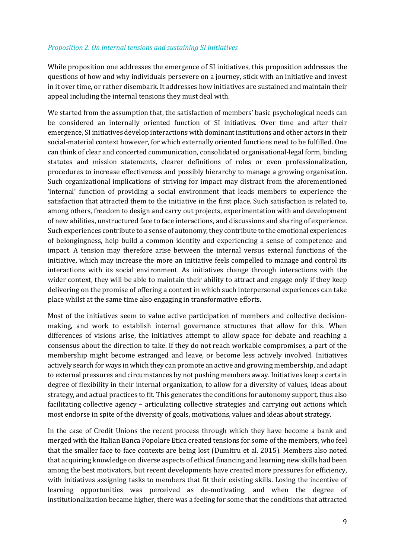#### *Proposition 2. On internal tensions and sustaining SI initiatives*

While proposition one addresses the emergence of SI initiatives, this proposition addresses the questions of how and why individuals persevere on a journey, stick with an initiative and invest in it over time, or rather disembark. It addresses how initiatives are sustained and maintain their appeal including the internal tensions they must deal with.

We started from the assumption that, the satisfaction of members' basic psychological needs can be considered an internally oriented function of SI initiatives. Over time and after their emergence, SI initiatives develop interactions with dominant institutions and other actors in their social-material context however, for which externally oriented functions need to be fulfilled. One can think of clear and concerted communication, consolidated organisational-legal form, binding statutes and mission statements, clearer definitions of roles or even professionalization, procedures to increase effectiveness and possibly hierarchy to manage a growing organisation. Such organizational implications of striving for impact may distract from the aforementioned 'internal' function of providing a social environment that leads members to experience the satisfaction that attracted them to the initiative in the first place. Such satisfaction is related to, among others, freedom to design and carry out projects, experimentation with and development of new abilities, unstructured face to face interactions, and discussions and sharing of experience. Such experiences contribute to a sense of autonomy, they contribute to the emotional experiences of belongingness, help build a common identity and experiencing a sense of competence and impact. A tension may therefore arise between the internal versus external functions of the initiative, which may increase the more an initiative feels compelled to manage and control its interactions with its social environment. As initiatives change through interactions with the wider context, they will be able to maintain their ability to attract and engage only if they keep delivering on the promise of offering a context in which such interpersonal experiences can take place whilst at the same time also engaging in transformative efforts.

Most of the initiatives seem to value active participation of members and collective decisionmaking, and work to establish internal governance structures that allow for this. When differences of visions arise, the initiatives attempt to allow space for debate and reaching a consensus about the direction to take. If they do not reach workable compromises, a part of the membership might become estranged and leave, or become less actively involved. Initiatives actively search for ways in which they can promote an active and growing membership, and adapt to external pressures and circumstances by not pushing members away. Initiatives keep a certain degree of flexibility in their internal organization, to allow for a diversity of values, ideas about strategy, and actual practices to fit. This generates the conditions for autonomy support, thus also facilitating collective agency – articulating collective strategies and carrying out actions which most endorse in spite of the diversity of goals, motivations, values and ideas about strategy.

In the case of Credit Unions the recent process through which they have become a bank and merged with the Italian Banca Popolare Etica created tensions for some of the members, who feel that the smaller face to face contexts are being lost (Dumitru et al. 2015). Members also noted that acquiring knowledge on diverse aspects of ethical financing and learning new skills had been among the best motivators, but recent developments have created more pressures for efficiency, with initiatives assigning tasks to members that fit their existing skills. Losing the incentive of learning opportunities was perceived as de-motivating, and when the degree of institutionalization became higher, there was a feeling for some that the conditions that attracted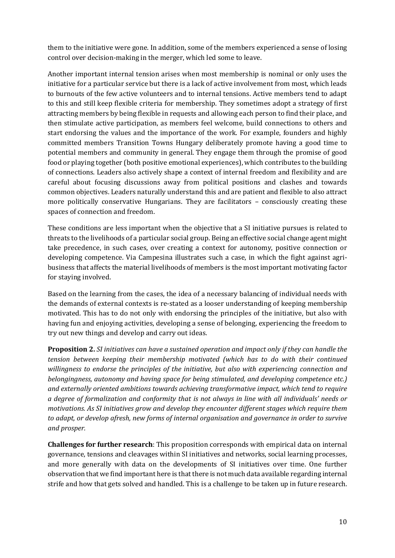them to the initiative were gone. In addition, some of the members experienced a sense of losing control over decision-making in the merger, which led some to leave.

Another important internal tension arises when most membership is nominal or only uses the initiative for a particular service but there is a lack of active involvement from most, which leads to burnouts of the few active volunteers and to internal tensions. Active members tend to adapt to this and still keep flexible criteria for membership. They sometimes adopt a strategy of first attracting members by being flexible in requests and allowing each person to find their place, and then stimulate active participation, as members feel welcome, build connections to others and start endorsing the values and the importance of the work. For example, founders and highly committed members Transition Towns Hungary deliberately promote having a good time to potential members and community in general. They engage them through the promise of good food or playing together (both positive emotional experiences), which contributes to the building of connections. Leaders also actively shape a context of internal freedom and flexibility and are careful about focusing discussions away from political positions and clashes and towards common objectives. Leaders naturally understand this and are patient and flexible to also attract more politically conservative Hungarians. They are facilitators – consciously creating these spaces of connection and freedom.

These conditions are less important when the objective that a SI initiative pursues is related to threats to the livelihoods of a particular social group. Being an effective social change agent might take precedence, in such cases, over creating a context for autonomy, positive connection or developing competence. Via Campesina illustrates such a case, in which the fight against agribusiness that affects the material livelihoods of members is the most important motivating factor for staying involved.

Based on the learning from the cases, the idea of a necessary balancing of individual needs with the demands of external contexts is re-stated as a looser understanding of keeping membership motivated. This has to do not only with endorsing the principles of the initiative, but also with having fun and enjoying activities, developing a sense of belonging, experiencing the freedom to try out new things and develop and carry out ideas.

**Proposition 2.** *SI initiatives can have a sustained operation and impact only if they can handle the tension between keeping their membership motivated (which has to do with their continued willingness to endorse the principles of the initiative, but also with experiencing connection and belongingness, autonomy and having space for being stimulated, and developing competence etc.) and externally oriented ambitions towards achieving transformative impact, which tend to require a degree of formalization and conformity that is not always in line with all individuals' needs or motivations. As SI initiatives grow and develop they encounter different stages which require them to adapt, or develop afresh, new forms of internal organisation and governance in order to survive and prosper.* 

**Challenges for further research**: This proposition corresponds with empirical data on internal governance, tensions and cleavages within SI initiatives and networks, social learning processes, and more generally with data on the developments of SI initiatives over time. One further observation that we find important here is that there is not much data available regarding internal strife and how that gets solved and handled. This is a challenge to be taken up in future research.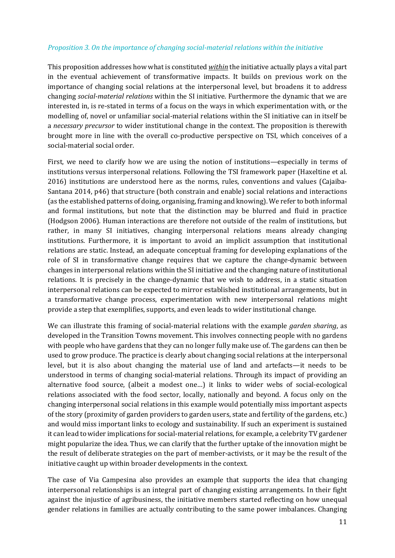#### *Proposition 3. On the importance of changing social-material relations within the initiative*

This proposition addresses how what is constituted *within* the initiative actually plays a vital part in the eventual achievement of transformative impacts. It builds on previous work on the importance of changing social relations at the interpersonal level, but broadens it to address changing *social-material relations* within the SI initiative. Furthermore the dynamic that we are interested in, is re-stated in terms of a focus on the ways in which experimentation with, or the modelling of, novel or unfamiliar social-material relations within the SI initiative can in itself be a *necessary precursor* to wider institutional change in the context. The proposition is therewith brought more in line with the overall co-productive perspective on TSI, which conceives of a social-material social order.

First, we need to clarify how we are using the notion of institutions—especially in terms of institutions versus interpersonal relations. Following the TSI framework paper (Haxeltine et al. 2016) institutions are understood here as the norms, rules, conventions and values (Cajaiba-Santana 2014, p46) that structure (both constrain and enable) social relations and interactions (as the established patterns of doing, organising, framing and knowing). We refer to both informal and formal institutions, but note that the distinction may be blurred and fluid in practice (Hodgson 2006). Human interactions are therefore not outside of the realm of institutions, but rather, in many SI initiatives, changing interpersonal relations means already changing institutions. Furthermore, it is important to avoid an implicit assumption that institutional relations are static. Instead, an adequate conceptual framing for developing explanations of the role of SI in transformative change requires that we capture the change-dynamic between changes in interpersonal relations within the SI initiative and the changing nature of institutional relations. It is precisely in the change-dynamic that we wish to address, in a static situation interpersonal relations can be expected to mirror established institutional arrangements, but in a transformative change process, experimentation with new interpersonal relations might provide a step that exemplifies, supports, and even leads to wider institutional change.

We can illustrate this framing of social-material relations with the example *garden sharing*, as developed in the Transition Towns movement. This involves connecting people with no gardens with people who have gardens that they can no longer fully make use of. The gardens can then be used to grow produce. The practice is clearly about changing social relations at the interpersonal level, but it is also about changing the material use of land and artefacts—it needs to be understood in terms of changing social-material relations. Through its impact of providing an alternative food source, (albeit a modest one…) it links to wider webs of social-ecological relations associated with the food sector, locally, nationally and beyond. A focus only on the changing interpersonal social relations in this example would potentially miss important aspects of the story (proximity of garden providers to garden users, state and fertility of the gardens, etc.) and would miss important links to ecology and sustainability. If such an experiment is sustained it can lead to wider implications for social-material relations, for example, a celebrity TV gardener might popularize the idea. Thus, we can clarify that the further uptake of the innovation might be the result of deliberate strategies on the part of member-activists, or it may be the result of the initiative caught up within broader developments in the context.

The case of Via Campesina also provides an example that supports the idea that changing interpersonal relationships is an integral part of changing existing arrangements. In their fight against the injustice of agribusiness, the initiative members started reflecting on how unequal gender relations in families are actually contributing to the same power imbalances. Changing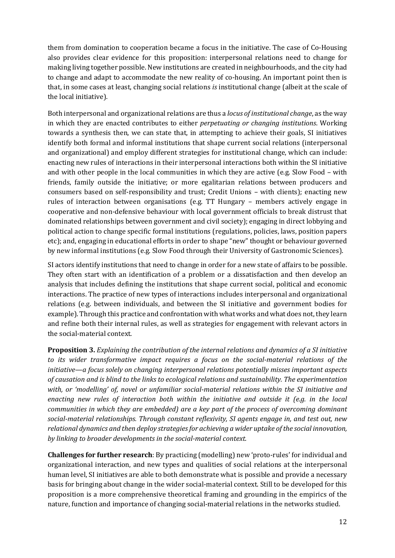them from domination to cooperation became a focus in the initiative. The case of Co-Housing also provides clear evidence for this proposition: interpersonal relations need to change for making living together possible. New institutions are created in neighbourhoods, and the city had to change and adapt to accommodate the new reality of co-housing. An important point then is that, in some cases at least, changing social relations *is* institutional change (albeit at the scale of the local initiative).

Both interpersonal and organizational relations are thus a *locus of institutional change*, as the way in which they are enacted contributes to either *perpetuating or changing institutions*. Working towards a synthesis then, we can state that, in attempting to achieve their goals, SI initiatives identify both formal and informal institutions that shape current social relations (interpersonal and organizational) and employ different strategies for institutional change, which can include: enacting new rules of interactions in their interpersonal interactions both within the SI initiative and with other people in the local communities in which they are active (e.g. Slow Food – with friends, family outside the initiative; or more egalitarian relations between producers and consumers based on self-responsibility and trust; Credit Unions – with clients); enacting new rules of interaction between organisations (e.g. TT Hungary – members actively engage in cooperative and non-defensive behaviour with local government officials to break distrust that dominated relationships between government and civil society); engaging in direct lobbying and political action to change specific formal institutions (regulations, policies, laws, position papers etc); and, engaging in educational efforts in order to shape "new" thought or behaviour governed by new informal institutions (e.g. Slow Food through their University of Gastronomic Sciences).

SI actors identify institutions that need to change in order for a new state of affairs to be possible. They often start with an identification of a problem or a dissatisfaction and then develop an analysis that includes defining the institutions that shape current social, political and economic interactions. The practice of new types of interactions includes interpersonal and organizational relations (e.g. between individuals, and between the SI initiative and government bodies for example). Through this practice and confrontation with what works and what does not, they learn and refine both their internal rules, as well as strategies for engagement with relevant actors in the social-material context.

**Proposition 3.** *Explaining the contribution of the internal relations and dynamics of a SI initiative to its wider transformative impact requires a focus on the social-material relations of the initiative—a focus solely on changing interpersonal relations potentially misses important aspects of causation and is blind to the links to ecological relations and sustainability. The experimentation with, or 'modelling' of, novel or unfamiliar social-material relations within the SI initiative and enacting new rules of interaction both within the initiative and outside it (e.g. in the local communities in which they are embedded) are a key part of the process of overcoming dominant social-material relationships. Through constant reflexivity, SI agents engage in, and test out, new relational dynamics and then deploy strategies for achieving a wider uptake of the social innovation, by linking to broader developments in the social-material context.* 

**Challenges for further research**: By practicing (modelling) new 'proto-rules' for individual and organizational interaction, and new types and qualities of social relations at the interpersonal human level, SI initiatives are able to both demonstrate what is possible and provide a necessary basis for bringing about change in the wider social-material context. Still to be developed for this proposition is a more comprehensive theoretical framing and grounding in the empirics of the nature, function and importance of changing social-material relations in the networks studied.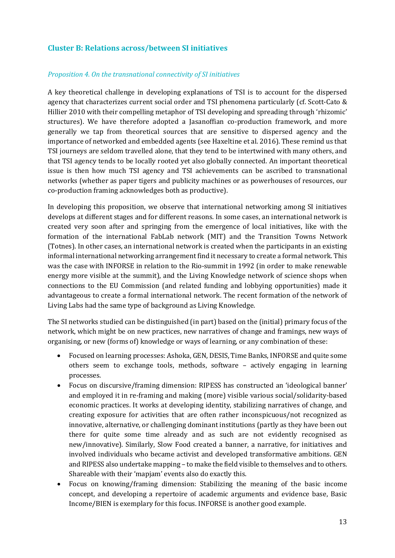# **Cluster B: Relations across/between SI initiatives**

#### *Proposition 4. On the transnational connectivity of SI initiatives*

A key theoretical challenge in developing explanations of TSI is to account for the dispersed agency that characterizes current social order and TSI phenomena particularly (cf. Scott-Cato & Hillier 2010 with their compelling metaphor of TSI developing and spreading through 'rhizomic' structures). We have therefore adopted a Jasanoffian co-production framework, and more generally we tap from theoretical sources that are sensitive to dispersed agency and the importance of networked and embedded agents (see Haxeltine et al. 2016). These remind us that TSI journeys are seldom travelled alone, that they tend to be intertwined with many others, and that TSI agency tends to be locally rooted yet also globally connected. An important theoretical issue is then how much TSI agency and TSI achievements can be ascribed to transnational networks (whether as paper tigers and publicity machines or as powerhouses of resources, our co-production framing acknowledges both as productive).

In developing this proposition, we observe that international networking among SI initiatives develops at different stages and for different reasons. In some cases, an international network is created very soon after and springing from the emergence of local initiatives, like with the formation of the international FabLab network (MIT) and the Transition Towns Network (Totnes). In other cases, an international network is created when the participants in an existing informal international networking arrangement find it necessary to create a formal network. This was the case with INFORSE in relation to the Rio-summit in 1992 (in order to make renewable energy more visible at the summit), and the Living Knowledge network of science shops when connections to the EU Commission (and related funding and lobbying opportunities) made it advantageous to create a formal international network. The recent formation of the network of Living Labs had the same type of background as Living Knowledge.

The SI networks studied can be distinguished (in part) based on the (initial) primary focus of the network, which might be on new practices, new narratives of change and framings, new ways of organising, or new (forms of) knowledge or ways of learning, or any combination of these:

- Focused on learning processes: Ashoka, GEN, DESIS, Time Banks, INFORSE and quite some others seem to exchange tools, methods, software – actively engaging in learning processes.
- Focus on discursive/framing dimension: RIPESS has constructed an 'ideological banner' and employed it in re-framing and making (more) visible various social/solidarity-based economic practices. It works at developing identity, stabilizing narratives of change, and creating exposure for activities that are often rather inconspicuous/not recognized as innovative, alternative, or challenging dominant institutions (partly as they have been out there for quite some time already and as such are not evidently recognised as new/innovative). Similarly, Slow Food created a banner, a narrative, for initiatives and involved individuals who became activist and developed transformative ambitions. GEN and RIPESS also undertake mapping – to make the field visible to themselves and to others. Shareable with their 'mapjam' events also do exactly this.
- Focus on knowing/framing dimension: Stabilizing the meaning of the basic income concept, and developing a repertoire of academic arguments and evidence base, Basic Income/BIEN is exemplary for this focus. INFORSE is another good example.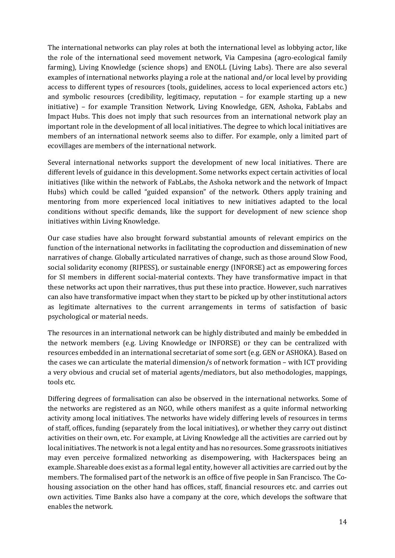The international networks can play roles at both the international level as lobbying actor, like the role of the international seed movement network, Via Campesina (agro-ecological family farming), Living Knowledge (science shops) and ENOLL (Living Labs). There are also several examples of international networks playing a role at the national and/or local level by providing access to different types of resources (tools, guidelines, access to local experienced actors etc.) and symbolic resources (credibility, legitimacy, reputation – for example starting up a new initiative) – for example Transition Network, Living Knowledge, GEN, Ashoka, FabLabs and Impact Hubs. This does not imply that such resources from an international network play an important role in the development of all local initiatives. The degree to which local initiatives are members of an international network seems also to differ. For example, only a limited part of ecovillages are members of the international network.

Several international networks support the development of new local initiatives. There are different levels of guidance in this development. Some networks expect certain activities of local initiatives (like within the network of FabLabs, the Ashoka network and the network of Impact Hubs) which could be called "guided expansion" of the network. Others apply training and mentoring from more experienced local initiatives to new initiatives adapted to the local conditions without specific demands, like the support for development of new science shop initiatives within Living Knowledge.

Our case studies have also brought forward substantial amounts of relevant empirics on the function of the international networks in facilitating the coproduction and dissemination of new narratives of change. Globally articulated narratives of change, such as those around Slow Food, social solidarity economy (RIPESS), or sustainable energy (INFORSE) act as empowering forces for SI members in different social-material contexts. They have transformative impact in that these networks act upon their narratives, thus put these into practice. However, such narratives can also have transformative impact when they start to be picked up by other institutional actors as legitimate alternatives to the current arrangements in terms of satisfaction of basic psychological or material needs.

The resources in an international network can be highly distributed and mainly be embedded in the network members (e.g. Living Knowledge or INFORSE) or they can be centralized with resources embedded in an international secretariat of some sort (e.g. GEN or ASHOKA). Based on the cases we can articulate the material dimension/s of network formation – with ICT providing a very obvious and crucial set of material agents/mediators, but also methodologies, mappings, tools etc.

Differing degrees of formalisation can also be observed in the international networks. Some of the networks are registered as an NGO, while others manifest as a quite informal networking activity among local initiatives. The networks have widely differing levels of resources in terms of staff, offices, funding (separately from the local initiatives), or whether they carry out distinct activities on their own, etc. For example, at Living Knowledge all the activities are carried out by local initiatives. The network is not a legal entity and has no resources. Some grassroots initiatives may even perceive formalized networking as disempowering, with Hackerspaces being an example. Shareable does exist as a formal legal entity, however all activities are carried out by the members. The formalised part of the network is an office of five people in San Francisco. The Cohousing association on the other hand has offices, staff, financial resources etc. and carries out own activities. Time Banks also have a company at the core, which develops the software that enables the network.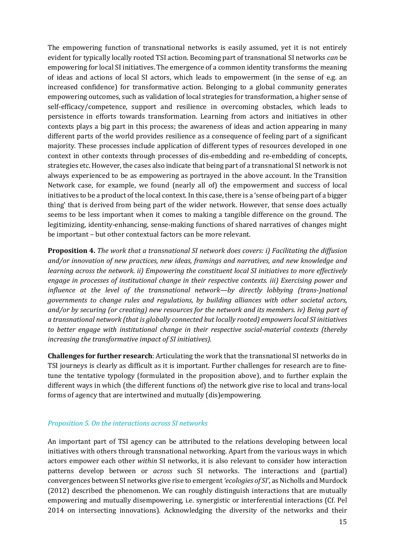The empowering function of transnational networks is easily assumed, yet it is not entirely evident for typically locally rooted TSI action. Becoming part of transnational SI networks *can* be empowering for local SI initiatives. The emergence of a common identity transforms the meaning of ideas and actions of local SI actors, which leads to empowerment (in the sense of e.g. an increased confidence) for transformative action. Belonging to a global community generates empowering outcomes, such as validation of local strategies for transformation, a higher sense of self-efficacy/competence, support and resilience in overcoming obstacles, which leads to persistence in efforts towards transformation. Learning from actors and initiatives in other contexts plays a big part in this process; the awareness of ideas and action appearing in many different parts of the world provides resilience as a consequence of feeling part of a significant majority. These processes include application of different types of resources developed in one context in other contexts through processes of dis-embedding and re-embedding of concepts, strategies etc. However, the cases also indicate that being part of a transnational SI network is not always experienced to be as empowering as portrayed in the above account. In the Transition Network case, for example, we found (nearly all of) the empowerment and success of local initiatives to be a product of the local context. In this case, there is a 'sense of being part of a bigger thing' that is derived from being part of the wider network. However, that sense does actually seems to be less important when it comes to making a tangible difference on the ground. The legitimizing, identity-enhancing, sense-making functions of shared narratives of changes might be important – but other contextual factors can be more relevant.

**Proposition 4.** *The work that a transnational SI network does covers: i) Facilitating the diffusion and/or innovation of new practices, new ideas, framings and narratives, and new knowledge and learning across the network. ii) Empowering the constituent local SI initiatives to more effectively engage in processes of institutional change in their respective contexts. iii) Exercising power and influence at the level of the transnational network—by directly lobbying (trans-)national governments to change rules and regulations, by building alliances with other societal actors, and/or by securing (or creating) new resources for the network and its members. iv) Being part of a transnational network (that is globally connected but locally rooted) empowers local SI initiatives to better engage with institutional change in their respective social-material contexts (thereby increasing the transformative impact of SI initiatives).*

**Challenges for further research**: Articulating the work that the transnational SI networks do in TSI journeys is clearly as difficult as it is important. Further challenges for research are to finetune the tentative typology (formulated in the proposition above), and to further explain the different ways in which (the different functions of) the network give rise to local and trans-local forms of agency that are intertwined and mutually (dis)empowering.

#### *Proposition 5. On the interactions across SI networks*

An important part of TSI agency can be attributed to the relations developing between local initiatives with others through transnational networking. Apart from the various ways in which actors empower each other *within* SI networks, it is also relevant to consider how interaction patterns develop between or *across* such SI networks. The interactions and (partial) convergences between SI networks give rise to emergent *'ecologies of SI'*, as Nicholls and Murdock (2012) described the phenomenon. We can roughly distinguish interactions that are mutually empowering and mutually disempowering, i.e. synergistic or interferential interactions (Cf. Pel 2014 on intersecting innovations). Acknowledging the diversity of the networks and their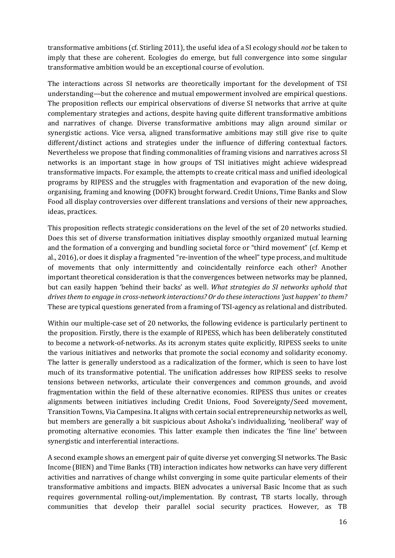transformative ambitions (cf. Stirling 2011), the useful idea of a SI ecology should *not* be taken to imply that these are coherent. Ecologies do emerge, but full convergence into some singular transformative ambition would be an exceptional course of evolution.

The interactions across SI networks are theoretically important for the development of TSI understanding—but the coherence and mutual empowerment involved are empirical questions. The proposition reflects our empirical observations of diverse SI networks that arrive at quite complementary strategies and actions, despite having quite different transformative ambitions and narratives of change. Diverse transformative ambitions may align around similar or synergistic actions. Vice versa, aligned transformative ambitions may still give rise to quite different/distinct actions and strategies under the influence of differing contextual factors. Nevertheless we propose that finding commonalities of framing visions and narratives across SI networks is an important stage in how groups of TSI initiatives might achieve widespread transformative impacts. For example, the attempts to create critical mass and unified ideological programs by RIPESS and the struggles with fragmentation and evaporation of the new doing, organising, framing and knowing (DOFK) brought forward. Credit Unions, Time Banks and Slow Food all display controversies over different translations and versions of their new approaches, ideas, practices.

This proposition reflects strategic considerations on the level of the set of 20 networks studied. Does this set of diverse transformation initiatives display smoothly organized mutual learning and the formation of a converging and bundling societal force or "third movement" (cf. Kemp et al., 2016), or does it display a fragmented "re-invention of the wheel" type process, and multitude of movements that only intermittently and coincidentally reinforce each other? Another important theoretical consideration is that the convergences between networks may be planned, but can easily happen 'behind their backs' as well. *What strategies do SI networks uphold that drives them to engage in cross-network interactions? Or do these interactions 'just happen' to them?* These are typical questions generated from a framing of TSI-agency as relational and distributed.

Within our multiple-case set of 20 networks, the following evidence is particularly pertinent to the proposition. Firstly, there is the example of RIPESS, which has been deliberately constituted to become a network-of-networks. As its acronym states quite explicitly, RIPESS seeks to unite the various initiatives and networks that promote the social economy and solidarity economy. The latter is generally understood as a radicalization of the former, which is seen to have lost much of its transformative potential. The unification addresses how RIPESS seeks to resolve tensions between networks, articulate their convergences and common grounds, and avoid fragmentation within the field of these alternative economies. RIPESS thus unites or creates alignments between initiatives including Credit Unions, Food Sovereignty/Seed movement, Transition Towns, Via Campesina. It aligns with certain social entrepreneurship networks as well, but members are generally a bit suspicious about Ashoka's individualizing, 'neoliberal' way of promoting alternative economies. This latter example then indicates the 'fine line' between synergistic and interferential interactions.

A second example shows an emergent pair of quite diverse yet converging SI networks. The Basic Income (BIEN) and Time Banks (TB) interaction indicates how networks can have very different activities and narratives of change whilst converging in some quite particular elements of their transformative ambitions and impacts. BIEN advocates a universal Basic Income that as such requires governmental rolling-out/implementation. By contrast, TB starts locally, through communities that develop their parallel social security practices. However, as TB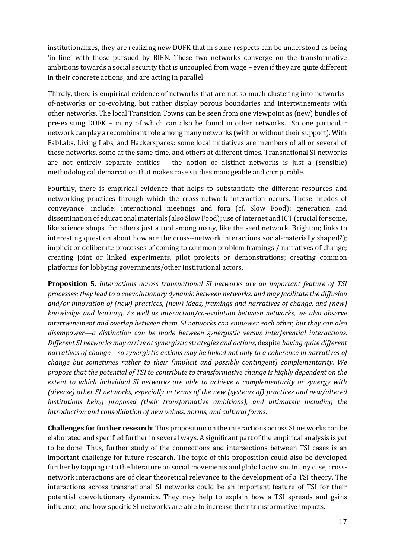institutionalizes, they are realizing new DOFK that in some respects can be understood as being 'in line' with those pursued by BIEN. These two networks converge on the transformative ambitions towards a social security that is uncoupled from wage – even if they are quite different in their concrete actions, and are acting in parallel.

Thirdly, there is empirical evidence of networks that are not so much clustering into networksof-networks or co-evolving, but rather display porous boundaries and intertwinements with other networks. The local Transition Towns can be seen from one viewpoint as (new) bundles of pre-existing DOFK – many of which can also be found in other networks. So one particular network can play a recombinant role among many networks (with or without their support). With FabLabs, Living Labs, and Hackerspaces: some local initiatives are members of all or several of these networks, some at the same time, and others at different times. Transnational SI networks are not entirely separate entities – the notion of distinct networks is just a (sensible) methodological demarcation that makes case studies manageable and comparable.

Fourthly, there is empirical evidence that helps to substantiate the different resources and networking practices through which the cross-network interaction occurs. These 'modes of conveyance' include: international meetings and fora (cf. Slow Food); generation and dissemination of educational materials (also Slow Food); use of internet and ICT (crucial for some, like science shops, for others just a tool among many, like the seed network, Brighton; links to interesting question about how are the cross--network interactions social-materially shaped?); implicit or deliberate processes of coming to common problem framings / narratives of change; creating joint or linked experiments, pilot projects or demonstrations; creating common platforms for lobbying governments/other institutional actors.

**Proposition 5.** *Interactions across transnational SI networks are an important feature of TSI processes: they lead to a coevolutionary dynamic between networks, and may facilitate the diffusion and/or innovation of (new) practices, (new) ideas, framings and narratives of change, and (new) knowledge and learning. As well as interaction/co-evolution between networks, we also observe intertwinement and overlap between them. SI networks can empower each other, but they can also disempower—a distinction can be made between synergistic versus interferential interactions. Different SI networks may arrive at synergistic strategies and actions,* despite *having quite different narratives of change—so synergistic actions may be linked not only to a coherence in narratives of change but sometimes rather to their (implicit and possibly contingent) complementarity. We propose that the potential of TSI to contribute to transformative change is highly dependent on the extent to which individual SI networks are able to achieve a complementarity or synergy with (diverse) other SI networks, especially in terms of the new (systems of) practices and new/altered institutions being proposed (their transformative ambitions), and ultimately including the introduction and consolidation of new values, norms, and cultural forms*.

**Challenges for further research**: This proposition on the interactions across SI networks can be elaborated and specified further in several ways. A significant part of the empirical analysis is yet to be done. Thus, further study of the connections and intersections between TSI cases is an important challenge for future research. The topic of this proposition could also be developed further by tapping into the literature on social movements and global activism. In any case, crossnetwork interactions are of clear theoretical relevance to the development of a TSI theory. The interactions across transnational SI networks could be an important feature of TSI for their potential coevolutionary dynamics. They may help to explain how a TSI spreads and gains influence, and how specific SI networks are able to increase their transformative impacts.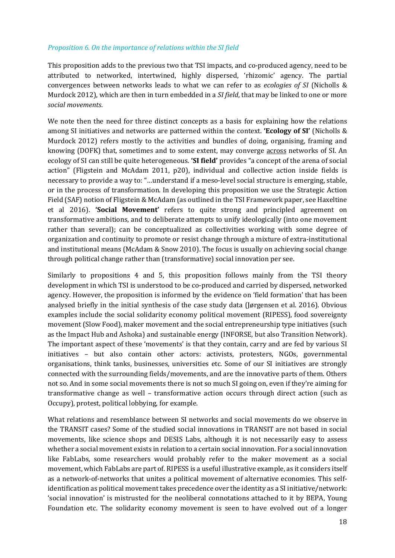#### *Proposition 6. On the importance of relations within the SI field*

This proposition adds to the previous two that TSI impacts, and co-produced agency, need to be attributed to networked, intertwined, highly dispersed, 'rhizomic' agency. The partial convergences between networks leads to what we can refer to as *ecologies of SI* (Nicholls & Murdock 2012), which are then in turn embedded in a *SI field*, that may be linked to one or more *social movements*.

We note then the need for three distinct concepts as a basis for explaining how the relations among SI initiatives and networks are patterned within the context. **'Ecology of SI'** (Nicholls & Murdock 2012) refers mostly to the activities and bundles of doing, organising, framing and knowing (DOFK) that, sometimes and to some extent, may converge across networks of SI. An ecology of SI can still be quite heterogeneous. **'SI field'** provides "a concept of the arena of social action" (Fligstein and McAdam 2011, p20), individual and collective action inside fields is necessary to provide a way to: "…understand if a meso-level social structure is emerging, stable, or in the process of transformation. In developing this proposition we use the Strategic Action Field (SAF) notion of Fligstein & McAdam (as outlined in the TSI Framework paper, see Haxeltine et al 2016). **'Social Movement'** refers to quite strong and principled agreement on transformative ambitions, and to deliberate attempts to unify ideologically (into one movement rather than several); can be conceptualized as collectivities working with some degree of organization and continuity to promote or resist change through a mixture of extra-institutional and institutional means (McAdam & Snow 2010). The focus is usually on achieving social change through political change rather than (transformative) social innovation per see.

Similarly to propositions 4 and 5, this proposition follows mainly from the TSI theory development in which TSI is understood to be co-produced and carried by dispersed, networked agency. However, the proposition is informed by the evidence on 'field formation' that has been analysed briefly in the initial synthesis of the case study data (Jørgensen et al. 2016). Obvious examples include the social solidarity economy political movement (RIPESS), food sovereignty movement (Slow Food), maker movement and the social entrepreneurship type initiatives (such as the Impact Hub and Ashoka) and sustainable energy (INFORSE, but also Transition Network). The important aspect of these 'movements' is that they contain, carry and are fed by various SI initiatives – but also contain other actors: activists, protesters, NGOs, governmental organisations, think tanks, businesses, universities etc. Some of our SI initiatives are strongly connected with the surrounding fields/movements, and are the innovative parts of them. Others not so. And in some social movements there is not so much SI going on, even if they're aiming for transformative change as well – transformative action occurs through direct action (such as Occupy), protest, political lobbying, for example.

What relations and resemblance between SI networks and social movements do we observe in the TRANSIT cases? Some of the studied social innovations in TRANSIT are not based in social movements, like science shops and DESIS Labs, although it is not necessarily easy to assess whether a social movement exists in relation to a certain social innovation. For a social innovation like FabLabs, some researchers would probably refer to the maker movement as a social movement, which FabLabs are part of. RIPESS is a useful illustrative example, as it considers itself as a network-of-networks that unites a political movement of alternative economies. This selfidentification as political movement takes precedence over the identity as a SI initiative/network: 'social innovation' is mistrusted for the neoliberal connotations attached to it by BEPA, Young Foundation etc. The solidarity economy movement is seen to have evolved out of a longer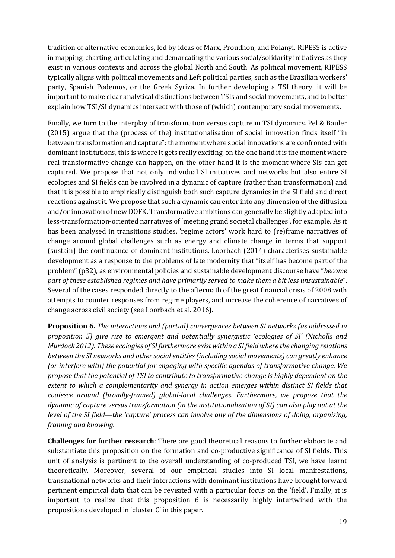tradition of alternative economies, led by ideas of Marx, Proudhon, and Polanyi. RIPESS is active in mapping, charting, articulating and demarcating the various social/solidarity initiatives as they exist in various contexts and across the global North and South. As political movement, RIPESS typically aligns with political movements and Left political parties, such as the Brazilian workers' party, Spanish Podemos, or the Greek Syriza. In further developing a TSI theory, it will be important to make clear analytical distinctions between TSIs and social movements, and to better explain how TSI/SI dynamics intersect with those of (which) contemporary social movements.

Finally, we turn to the interplay of transformation versus capture in TSI dynamics. Pel & Bauler (2015) argue that the (process of the) institutionalisation of social innovation finds itself "in between transformation and capture": the moment where social innovations are confronted with dominant institutions, this is where it gets really exciting, on the one hand it is the moment where real transformative change can happen, on the other hand it is the moment where SIs can get captured. We propose that not only individual SI initiatives and networks but also entire SI ecologies and SI fields can be involved in a dynamic of capture (rather than transformation) and that it is possible to empirically distinguish both such capture dynamics in the SI field and direct reactions against it. We propose that such a dynamic can enter into any dimension of the diffusion and/or innovation of new DOFK. Transformative ambitions can generally be slightly adapted into less-transformation-oriented narratives of 'meeting grand societal challenges', for example. As it has been analysed in transitions studies, 'regime actors' work hard to (re)frame narratives of change around global challenges such as energy and climate change in terms that support (sustain) the continuance of dominant institutions. Loorbach (2014) characterises sustainable development as a response to the problems of late modernity that "itself has become part of the problem" (p32), as environmental policies and sustainable development discourse have "*become part of these established regimes and have primarily served to make them a bit less unsustainable*". Several of the cases responded directly to the aftermath of the great financial crisis of 2008 with attempts to counter responses from regime players, and increase the coherence of narratives of change across civil society (see Loorbach et al. 2016).

**Proposition 6.** *The interactions and (partial) convergences between SI networks (as addressed in proposition 5) give rise to emergent and potentially synergistic 'ecologies of SI' (Nicholls and Murdock 2012). These ecologies of SI furthermore exist within a SI field where the changing relations between the SI networks and other social entities (including social movements) can greatly enhance (or interfere with) the potential for engaging with specific agendas of transformative change. We propose that the potential of TSI to contribute to transformative change is highly dependent on the extent to which a complementarity and synergy in action emerges within distinct SI fields that coalesce around (broadly-framed) global-local challenges. Furthermore, we propose that the dynamic of capture versus transformation (in the institutionalisation of SI) can also play out at the level of the SI field—the 'capture' process can involve any of the dimensions of doing, organising, framing and knowing.*

**Challenges for further research**: There are good theoretical reasons to further elaborate and substantiate this proposition on the formation and co-productive significance of SI fields. This unit of analysis is pertinent to the overall understanding of co-produced TSI, we have learnt theoretically. Moreover, several of our empirical studies into SI local manifestations, transnational networks and their interactions with dominant institutions have brought forward pertinent empirical data that can be revisited with a particular focus on the 'field'. Finally, it is important to realize that this proposition 6 is necessarily highly intertwined with the propositions developed in 'cluster C' in this paper.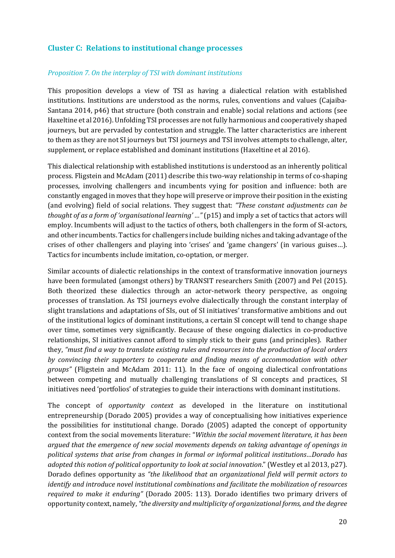# **Cluster C: Relations to institutional change processes**

#### *Proposition 7. On the interplay of TSI with dominant institutions*

This proposition develops a view of TSI as having a dialectical relation with established institutions. Institutions are understood as the norms, rules, conventions and values (Cajaiba-Santana 2014, p46) that structure (both constrain and enable) social relations and actions (see Haxeltine et al 2016). Unfolding TSI processes are not fully harmonious and cooperatively shaped journeys, but are pervaded by contestation and struggle. The latter characteristics are inherent to them as they are not SI journeys but TSI journeys and TSI involves attempts to challenge, alter, supplement, or replace established and dominant institutions (Haxeltine et al 2016).

This dialectical relationship with established institutions is understood as an inherently political process. Fligstein and McAdam (2011) describe this two-way relationship in terms of co-shaping processes, involving challengers and incumbents vying for position and influence: both are constantly engaged in moves that they hope will preserve or improve their position in the existing (and evolving) field of social relations. They suggest that: *"These constant adjustments can be thought of as a form of 'organisational learning' …"* (p15) and imply a set of tactics that actors will employ. Incumbents will adjust to the tactics of others, both challengers in the form of SI-actors, and other incumbents. Tactics for challengers include building niches and taking advantage of the crises of other challengers and playing into 'crises' and 'game changers' (in various guises…). Tactics for incumbents include imitation, co-optation, or merger.

Similar accounts of dialectic relationships in the context of transformative innovation journeys have been formulated (amongst others) by TRANSIT researchers Smith (2007) and Pel (2015). Both theorized these dialectics through an actor-network theory perspective, as ongoing processes of translation. As TSI journeys evolve dialectically through the constant interplay of slight translations and adaptations of SIs, out of SI initiatives' transformative ambitions and out of the institutional logics of dominant institutions, a certain SI concept will tend to change shape over time, sometimes very significantly. Because of these ongoing dialectics in co-productive relationships, SI initiatives cannot afford to simply stick to their guns (and principles). Rather they, *"must find a way to translate existing rules and resources into the production of local orders by convincing their supporters to cooperate and finding means of accommodation with other groups"* (Fligstein and McAdam 2011: 11). In the face of ongoing dialectical confrontations between competing and mutually challenging translations of SI concepts and practices, SI initiatives need 'portfolios' of strategies to guide their interactions with dominant institutions.

The concept of *opportunity context* as developed in the literature on institutional entrepreneurship (Dorado 2005) provides a way of conceptualising how initiatives experience the possibilities for institutional change. Dorado (2005) adapted the concept of opportunity context from the social movements literature: "*Within the social movement literature, it has been argued that the emergence of new social movements depends on taking advantage of openings in political systems that arise from changes in formal or informal political institutions…Dorado has adopted this notion of political opportunity to look at social innovation*." (Westley et al 2013, p27). Dorado defines opportunity as *"the likelihood that an organizational field will permit actors to identify and introduce novel institutional combinations and facilitate the mobilization of resources required to make it enduring"* (Dorado 2005: 113). Dorado identifies two primary drivers of opportunity context, namely,*"the diversity and multiplicity of organizational forms, and the degree*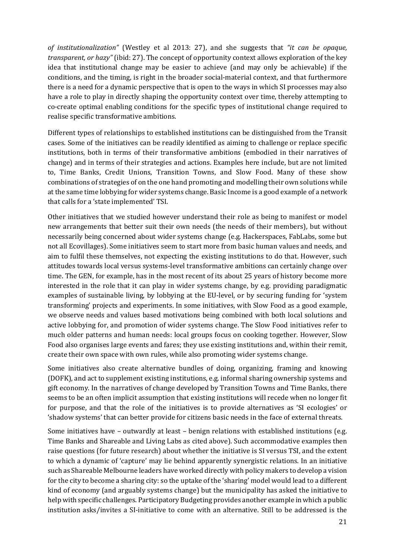*of institutionalization"* (Westley et al 2013: 27), and she suggests that *"it can be opaque, transparent, or hazy"* (ibid: 27). The concept of opportunity context allows exploration of the key idea that institutional change may be easier to achieve (and may only be achievable) if the conditions, and the timing, is right in the broader social-material context, and that furthermore there is a need for a dynamic perspective that is open to the ways in which SI processes may also have a role to play in directly shaping the opportunity context over time, thereby attempting to co-create optimal enabling conditions for the specific types of institutional change required to realise specific transformative ambitions.

Different types of relationships to established institutions can be distinguished from the Transit cases. Some of the initiatives can be readily identified as aiming to challenge or replace specific institutions, both in terms of their transformative ambitions (embodied in their narratives of change) and in terms of their strategies and actions. Examples here include, but are not limited to, Time Banks, Credit Unions, Transition Towns, and Slow Food. Many of these show combinations of strategies of on the one hand promoting and modelling their own solutions while at the same time lobbying for wider systems change. Basic Income is a good example of a network that calls for a 'state implemented' TSI.

Other initiatives that we studied however understand their role as being to manifest or model new arrangements that better suit their own needs (the needs of their members), but without necessarily being concerned about wider systems change (e.g. Hackerspaces, FabLabs, some but not all Ecovillages). Some initiatives seem to start more from basic human values and needs, and aim to fulfil these themselves, not expecting the existing institutions to do that. However, such attitudes towards local versus systems-level transformative ambitions can certainly change over time. The GEN, for example, has in the most recent of its about 25 years of history become more interested in the role that it can play in wider systems change, by e.g. providing paradigmatic examples of sustainable living, by lobbying at the EU-level, or by securing funding for 'system transforming' projects and experiments. In some initiatives, with Slow Food as a good example, we observe needs and values based motivations being combined with both local solutions and active lobbying for, and promotion of wider systems change. The Slow Food initiatives refer to much older patterns and human needs: local groups focus on cooking together. However, Slow Food also organises large events and fares; they use existing institutions and, within their remit, create their own space with own rules, while also promoting wider systems change.

Some initiatives also create alternative bundles of doing, organizing, framing and knowing (DOFK), and act to supplement existing institutions, e.g. informal sharing ownership systems and gift economy. In the narratives of change developed by Transition Towns and Time Banks, there seems to be an often implicit assumption that existing institutions will recede when no longer fit for purpose, and that the role of the initiatives is to provide alternatives as 'SI ecologies' or 'shadow systems' that can better provide for citizens basic needs in the face of external threats.

Some initiatives have – outwardly at least – benign relations with established institutions (e.g. Time Banks and Shareable and Living Labs as cited above). Such accommodative examples then raise questions (for future research) about whether the initiative is SI versus TSI, and the extent to which a dynamic of 'capture' may lie behind apparently synergistic relations. In an initiative such as Shareable Melbourne leaders have worked directly with policy makers to develop a vision for the city to become a sharing city: so the uptake of the 'sharing' model would lead to a different kind of economy (and arguably systems change) but the municipality has asked the initiative to help with specific challenges. Participatory Budgeting provides another example in which a public institution asks/invites a SI-initiative to come with an alternative. Still to be addressed is the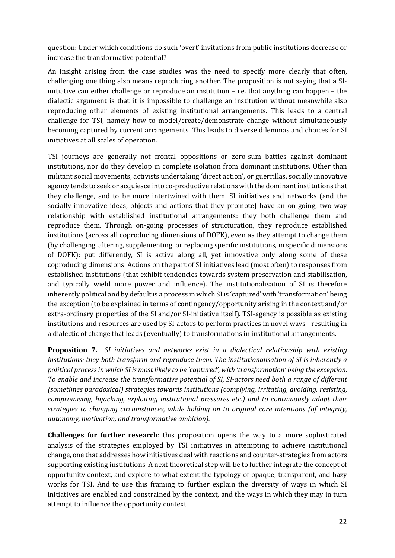question: Under which conditions do such 'overt' invitations from public institutions decrease or increase the transformative potential?

An insight arising from the case studies was the need to specify more clearly that often, challenging one thing also means reproducing another. The proposition is not saying that a SIinitiative can either challenge or reproduce an institution – i.e. that anything can happen – the dialectic argument is that it is impossible to challenge an institution without meanwhile also reproducing other elements of existing institutional arrangements. This leads to a central challenge for TSI, namely how to model/create/demonstrate change without simultaneously becoming captured by current arrangements. This leads to diverse dilemmas and choices for SI initiatives at all scales of operation.

TSI journeys are generally not frontal oppositions or zero-sum battles against dominant institutions, nor do they develop in complete isolation from dominant institutions. Other than militant social movements, activists undertaking 'direct action', or guerrillas, socially innovative agency tends to seek or acquiesce into co-productive relations with the dominant institutions that they challenge, and to be more intertwined with them. SI initiatives and networks (and the socially innovative ideas, objects and actions that they promote) have an on-going, two-way relationship with established institutional arrangements: they both challenge them and reproduce them. Through on-going processes of structuration, they reproduce established institutions (across all coproducing dimensions of DOFK), even as they attempt to change them (by challenging, altering, supplementing, or replacing specific institutions, in specific dimensions of DOFK): put differently, SI is active along all, yet innovative only along some of these coproducing dimensions. Actions on the part of SI initiatives lead (most often) to responses from established institutions (that exhibit tendencies towards system preservation and stabilisation, and typically wield more power and influence). The institutionalisation of SI is therefore inherently political and by default is a process in which SI is 'captured' with 'transformation' being the exception (to be explained in terms of contingency/opportunity arising in the context and/or extra-ordinary properties of the SI and/or SI-initiative itself). TSI-agency is possible as existing institutions and resources are used by SI-actors to perform practices in novel ways - resulting in a dialectic of change that leads (eventually) to transformations in institutional arrangements.

**Proposition 7.** *SI initiatives and networks exist in a dialectical relationship with existing institutions: they both transform and reproduce them. The institutionalisation of SI is inherently a political process in which SI is most likely to be 'captured', with 'transformation' being the exception. To enable and increase the transformative potential of SI, SI-actors need both a range of different (sometimes paradoxical) strategies towards institutions (complying, irritating, avoiding, resisting, compromising, hijacking, exploiting institutional pressures etc.) and to continuously adapt their strategies to changing circumstances, while holding on to original core intentions (of integrity, autonomy, motivation, and transformative ambition).*

**Challenges for further research**: this proposition opens the way to a more sophisticated analysis of the strategies employed by TSI initiatives in attempting to achieve institutional change, one that addresses how initiatives deal with reactions and counter-strategies from actors supporting existing institutions. A next theoretical step will be to further integrate the concept of opportunity context, and explore to what extent the typology of opaque, transparent, and hazy works for TSI. And to use this framing to further explain the diversity of ways in which SI initiatives are enabled and constrained by the context, and the ways in which they may in turn attempt to influence the opportunity context.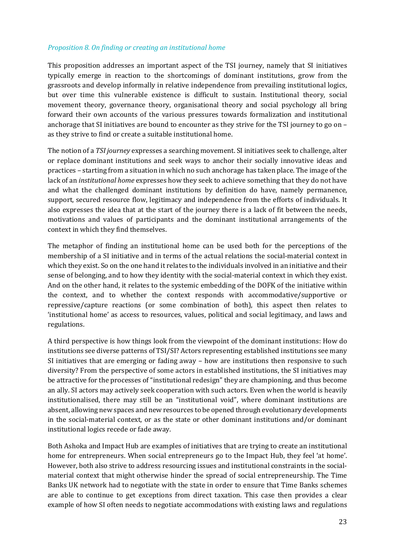#### *Proposition 8. On finding or creating an institutional home*

This proposition addresses an important aspect of the TSI journey, namely that SI initiatives typically emerge in reaction to the shortcomings of dominant institutions, grow from the grassroots and develop informally in relative independence from prevailing institutional logics, but over time this vulnerable existence is difficult to sustain. Institutional theory, social movement theory, governance theory, organisational theory and social psychology all bring forward their own accounts of the various pressures towards formalization and institutional anchorage that SI initiatives are bound to encounter as they strive for the TSI journey to go on – as they strive to find or create a suitable institutional home.

The notion of a *TSI journey* expresses a searching movement. SI initiatives seek to challenge, alter or replace dominant institutions and seek ways to anchor their socially innovative ideas and practices – starting from a situation in which no such anchorage has taken place. The image of the lack of an *institutional home* expresses how they seek to achieve something that they do not have and what the challenged dominant institutions by definition do have, namely permanence, support, secured resource flow, legitimacy and independence from the efforts of individuals. It also expresses the idea that at the start of the journey there is a lack of fit between the needs, motivations and values of participants and the dominant institutional arrangements of the context in which they find themselves.

The metaphor of finding an institutional home can be used both for the perceptions of the membership of a SI initiative and in terms of the actual relations the social-material context in which they exist. So on the one hand it relates to the individuals involved in an initiative and their sense of belonging, and to how they identity with the social-material context in which they exist. And on the other hand, it relates to the systemic embedding of the DOFK of the initiative within the context, and to whether the context responds with accommodative/supportive or repressive/capture reactions (or some combination of both), this aspect then relates to 'institutional home' as access to resources, values, political and social legitimacy, and laws and regulations.

A third perspective is how things look from the viewpoint of the dominant institutions: How do institutions see diverse patterns of TSI/SI? Actors representing established institutions see many SI initiatives that are emerging or fading away – how are institutions then responsive to such diversity? From the perspective of some actors in established institutions, the SI initiatives may be attractive for the processes of "institutional redesign" they are championing, and thus become an ally. SI actors may actively seek cooperation with such actors. Even when the world is heavily institutionalised, there may still be an "institutional void", where dominant institutions are absent, allowing new spaces and new resources to be opened through evolutionary developments in the social-material context, or as the state or other dominant institutions and/or dominant institutional logics recede or fade away.

Both Ashoka and Impact Hub are examples of initiatives that are trying to create an institutional home for entrepreneurs. When social entrepreneurs go to the Impact Hub, they feel 'at home'. However, both also strive to address resourcing issues and institutional constraints in the socialmaterial context that might otherwise hinder the spread of social entrepreneurship. The Time Banks UK network had to negotiate with the state in order to ensure that Time Banks schemes are able to continue to get exceptions from direct taxation. This case then provides a clear example of how SI often needs to negotiate accommodations with existing laws and regulations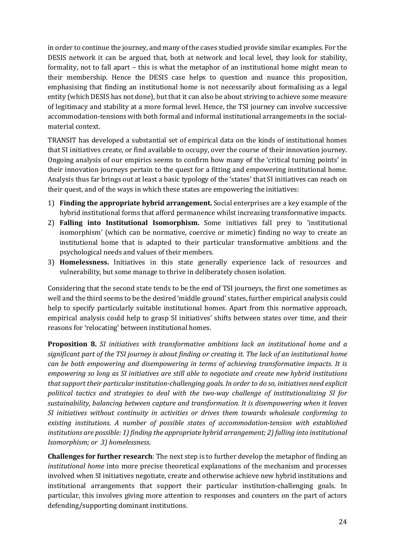in order to continue the journey, and many of the cases studied provide similar examples. For the DESIS network it can be argued that, both at network and local level, they look for stability, formality, not to fall apart – this is what the metaphor of an institutional home might mean to their membership. Hence the DESIS case helps to question and nuance this proposition, emphasising that finding an institutional home is not necessarily about formalising as a legal entity (which DESIS has not done), but that it can also be about striving to achieve some measure of legitimacy and stability at a more formal level. Hence, the TSI journey can involve successive accommodation-tensions with both formal and informal institutional arrangements in the socialmaterial context.

TRANSIT has developed a substantial set of empirical data on the kinds of institutional homes that SI initiatives create, or find available to occupy, over the course of their innovation journey. Ongoing analysis of our empirics seems to confirm how many of the 'critical turning points' in their innovation journeys pertain to the quest for a fitting and empowering institutional home. Analysis thus far brings out at least a basic typology of the 'states' that SI initiatives can reach on their quest, and of the ways in which these states are empowering the initiatives:

- 1) **Finding the appropriate hybrid arrangement.** Social enterprises are a key example of the hybrid institutional forms that afford permanence whilst increasing transformative impacts.
- 2) **Falling into Institutional Isomorphism.** Some initiatives fall prey to 'institutional isomorphism' (which can be normative, coercive or mimetic) finding no way to create an institutional home that is adapted to their particular transformative ambitions and the psychological needs and values of their members.
- 3) **Homelessness.** Initiatives in this state generally experience lack of resources and vulnerability, but some manage to thrive in deliberately chosen isolation.

Considering that the second state tends to be the end of TSI journeys, the first one sometimes as well and the third seems to be the desired 'middle ground' states, further empirical analysis could help to specify particularly suitable institutional homes. Apart from this normative approach, empirical analysis could help to grasp SI initiatives' shifts between states over time, and their reasons for 'relocating' between institutional homes.

**Proposition 8.** *SI initiatives with transformative ambitions lack an institutional home and a significant part of the TSI journey is about finding or creating it. The lack of an institutional home can be both empowering and disempowering in terms of achieving transformative impacts. It is empowering so long as SI initiatives are still able to negotiate and create new hybrid institutions that support their particular institution-challenging goals. In order to do so, initiatives need explicit political tactics and strategies to deal with the two-way challenge of institutionalizing SI for sustainability, balancing between capture and transformation. It is disempowering when it leaves SI initiatives without continuity in activities or drives them towards wholesale conforming to existing institutions. A number of possible states of accommodation-tension with established institutions are possible: 1) finding the appropriate hybrid arrangement; 2) falling into institutional Isomorphism; or 3) homelessness.*

**Challenges for further research**: The next step is to further develop the metaphor of finding an *institutional home* into more precise theoretical explanations of the mechanism and processes involved when SI initiatives negotiate, create and otherwise achieve new hybrid institutions and institutional arrangements that support their particular institution-challenging goals. In particular, this involves giving more attention to responses and counters on the part of actors defending/supporting dominant institutions.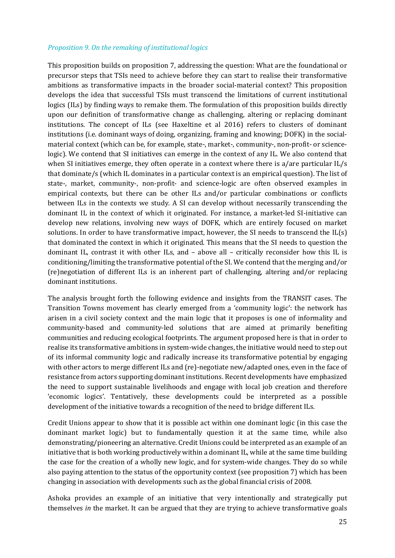#### *Proposition 9. On the remaking of institutional logics*

This proposition builds on proposition 7, addressing the question: What are the foundational or precursor steps that TSIs need to achieve before they can start to realise their transformative ambitions as transformative impacts in the broader social-material context? This proposition develops the idea that successful TSIs must transcend the limitations of current institutional logics (ILs) by finding ways to remake them. The formulation of this proposition builds directly upon our definition of transformative change as challenging, altering or replacing dominant institutions. The concept of ILs (see Haxeltine et al 2016) refers to clusters of dominant institutions (i.e. dominant ways of doing, organizing, framing and knowing; DOFK) in the socialmaterial context (which can be, for example, state-, market-, community-, non-profit- or sciencelogic). We contend that SI initiatives can emerge in the context of any IL. We also contend that when SI initiatives emerge, they often operate in a context where there is a/are particular IL/s that dominate/s (which IL dominates in a particular context is an empirical question). The list of state-, market, community-, non-profit- and science-logic are often observed examples in empirical contexts, but there can be other ILs and/or particular combinations or conflicts between ILs in the contexts we study. A SI can develop without necessarily transcending the dominant IL in the context of which it originated. For instance, a market-led SI-initiative can develop new relations, involving new ways of DOFK, which are entirely focused on market solutions. In order to have transformative impact, however, the SI needs to transcend the  $IL(s)$ that dominated the context in which it originated. This means that the SI needs to question the dominant IL, contrast it with other ILs, and – above all – critically reconsider how this IL is conditioning/limiting the transformative potential of the SI. We contend that the merging and/or (re)negotiation of different ILs is an inherent part of challenging, altering and/or replacing dominant institutions.

The analysis brought forth the following evidence and insights from the TRANSIT cases. The Transition Towns movement has clearly emerged from a 'community logic': the network has arisen in a civil society context and the main logic that it proposes is one of informality and community-based and community-led solutions that are aimed at primarily benefiting communities and reducing ecological footprints. The argument proposed here is that in order to realise its transformative ambitions in system-wide changes, the initiative would need to step out of its informal community logic and radically increase its transformative potential by engaging with other actors to merge different ILs and (re)-negotiate new/adapted ones, even in the face of resistance from actors supporting dominant institutions. Recent developments have emphasized the need to support sustainable livelihoods and engage with local job creation and therefore 'economic logics'. Tentatively, these developments could be interpreted as a possible development of the initiative towards a recognition of the need to bridge different ILs.

Credit Unions appear to show that it is possible act within one dominant logic (in this case the dominant market logic) but to fundamentally question it at the same time, while also demonstrating/pioneering an alternative. Credit Unions could be interpreted as an example of an initiative that is both working productively within a dominant IL, while at the same time building the case for the creation of a wholly new logic, and for system-wide changes. They do so while also paying attention to the status of the opportunity context (see proposition 7) which has been changing in association with developments such as the global financial crisis of 2008.

Ashoka provides an example of an initiative that very intentionally and strategically put themselves *in* the market. It can be argued that they are trying to achieve transformative goals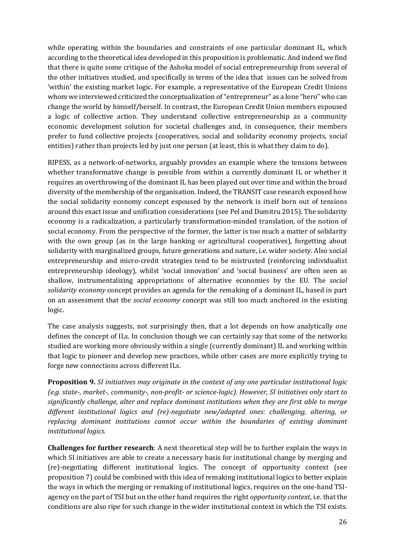while operating within the boundaries and constraints of one particular dominant IL, which according to the theoretical idea developed in this proposition is problematic. And indeed we find that there is quite some critique of the Ashoka model of social entrepreneurship from several of the other initiatives studied, and specifically in terms of the idea that issues can be solved from 'within' the existing market logic. For example, a representative of the European Credit Unions whom we interviewed criticized the conceptualization of "entrepreneur" as a lone "hero" who can change the world by himself/herself. In contrast, the European Credit Union members espoused a logic of collective action. They understand collective entrepreneurship as a community economic development solution for societal challenges and, in consequence, their members prefer to fund collective projects (cooperatives, social and solidarity economy projects, social entities) rather than projects led by just one person (at least, this is what they claim to do).

RIPESS, as a network-of-networks, arguably provides an example where the tensions between whether transformative change is possible from within a currently dominant IL or whether it requires an overthrowing of the dominant IL has been played out over time and within the broad diversity of the membership of the organisation. Indeed, the TRANSIT case research exposed how the social solidarity economy concept espoused by the network is itself born out of tensions around this exact issue and unification considerations (see Pel and Dumitru 2015). The solidarity economy is a radicalization, a particularly transformation-minded translation, of the notion of social economy. From the perspective of the former, the latter is too much a matter of solidarity with the own group (as in the large banking or agricultural cooperatives), forgetting about solidarity with marginalized groups, future generations and nature, i.e. wider society. Also social entrepreneurship and micro-credit strategies tend to be mistrusted (reinforcing individualist entrepreneurship ideology), whilst 'social innovation' and 'social business' are often seen as shallow, instrumentalizing appropriations of alternative economies by the EU. The *social solidarity economy* concept provides an agenda for the remaking of a dominant IL, based in part on an assessment that the *social economy* concept was still too much anchored in the existing logic.

The case analysis suggests, not surprisingly then, that a lot depends on how analytically one defines the concept of ILs. In conclusion though we can certainly say that some of the networks studied are working more obviously within a single (currently dominant) IL and working within that logic to pioneer and develop new practices, while other cases are more explicitly trying to forge new connections across different ILs.

**Proposition 9.** *SI initiatives may originate in the context of any one particular institutional logic (e.g. state-, market-, community-, non-profit- or science-logic). However, SI initiatives only start to significantly challenge, alter and replace dominant institutions when they are first able to merge different institutional logics and (re)-negotiate new/adapted ones: challenging, altering, or replacing dominant institutions cannot occur within the boundaries of existing dominant institutional logics.*

**Challenges for further research**: A next theoretical step will be to further explain the ways in which SI initiatives are able to create a necessary basis for institutional change by merging and (re)-negotiating different institutional logics. The concept of opportunity context (see proposition 7) could be combined with this idea of remaking institutional logics to better explain the ways in which the merging or remaking of institutional logics, requires on the one-hand TSIagency on the part of TSI but on the other hand requires the right *opportunity context*, i.e. that the conditions are also ripe for such change in the wider institutional context in which the TSI exists.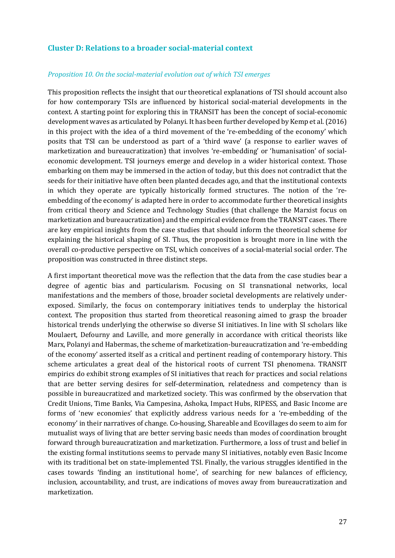## **Cluster D: Relations to a broader social-material context**

#### *Proposition 10. On the social-material evolution out of which TSI emerges*

This proposition reflects the insight that our theoretical explanations of TSI should account also for how contemporary TSIs are influenced by historical social-material developments in the context. A starting point for exploring this in TRANSIT has been the concept of social-economic development waves as articulated by Polanyi. It has been further developed by Kemp et al. (2016) in this project with the idea of a third movement of the 're-embedding of the economy' which posits that TSI can be understood as part of a 'third wave' (a response to earlier waves of marketization and bureaucratization) that involves 're-embedding' or 'humanisation' of socialeconomic development. TSI journeys emerge and develop in a wider historical context. Those embarking on them may be immersed in the action of today, but this does not contradict that the seeds for their initiative have often been planted decades ago, and that the institutional contexts in which they operate are typically historically formed structures. The notion of the 'reembedding of the economy' is adapted here in order to accommodate further theoretical insights from critical theory and Science and Technology Studies (that challenge the Marxist focus on marketization and bureaucratization) and the empirical evidence from the TRANSIT cases. There are key empirical insights from the case studies that should inform the theoretical scheme for explaining the historical shaping of SI. Thus, the proposition is brought more in line with the overall co-productive perspective on TSI, which conceives of a social-material social order. The proposition was constructed in three distinct steps.

A first important theoretical move was the reflection that the data from the case studies bear a degree of agentic bias and particularism. Focusing on SI transnational networks, local manifestations and the members of those, broader societal developments are relatively underexposed. Similarly, the focus on contemporary initiatives tends to underplay the historical context. The proposition thus started from theoretical reasoning aimed to grasp the broader historical trends underlying the otherwise so diverse SI initiatives. In line with SI scholars like Moulaert, Defourny and Laville, and more generally in accordance with critical theorists like Marx, Polanyi and Habermas, the scheme of marketization-bureaucratization and 're-embedding of the economy' asserted itself as a critical and pertinent reading of contemporary history. This scheme articulates a great deal of the historical roots of current TSI phenomena. TRANSIT empirics do exhibit strong examples of SI initiatives that reach for practices and social relations that are better serving desires for self-determination, relatedness and competency than is possible in bureaucratized and marketized society. This was confirmed by the observation that Credit Unions, Time Banks, Via Campesina, Ashoka, Impact Hubs, RIPESS, and Basic Income are forms of 'new economies' that explicitly address various needs for a 're-embedding of the economy' in their narratives of change. Co-housing, Shareable and Ecovillages do seem to aim for mutualist ways of living that are better serving basic needs than modes of coordination brought forward through bureaucratization and marketization. Furthermore, a loss of trust and belief in the existing formal institutions seems to pervade many SI initiatives, notably even Basic Income with its traditional bet on state-implemented TSI. Finally, the various struggles identified in the cases towards 'finding an institutional home', of searching for new balances of efficiency, inclusion, accountability, and trust, are indications of moves away from bureaucratization and marketization.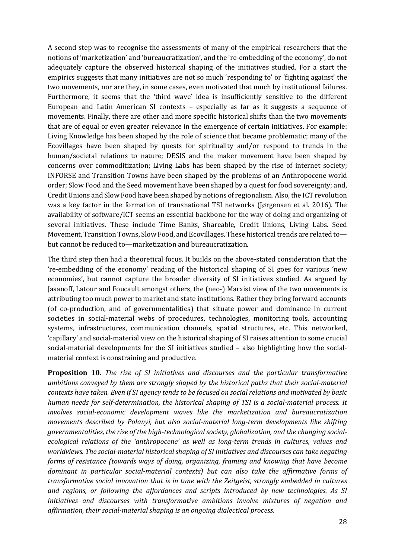A second step was to recognise the assessments of many of the empirical researchers that the notions of 'marketization' and 'bureaucratization', and the 're-embedding of the economy', do not adequately capture the observed historical shaping of the initiatives studied. For a start the empirics suggests that many initiatives are not so much 'responding to' or 'fighting against' the two movements, nor are they, in some cases, even motivated that much by institutional failures. Furthermore, it seems that the 'third wave' idea is insufficiently sensitive to the different European and Latin American SI contexts – especially as far as it suggests a sequence of movements. Finally, there are other and more specific historical shifts than the two movements that are of equal or even greater relevance in the emergence of certain initiatives. For example: Living Knowledge has been shaped by the role of science that became problematic; many of the Ecovillages have been shaped by quests for spirituality and/or respond to trends in the human/societal relations to nature; DESIS and the maker movement have been shaped by concerns over commoditization; Living Labs has been shaped by the rise of internet society; INFORSE and Transition Towns have been shaped by the problems of an Anthropocene world order; Slow Food and the Seed movement have been shaped by a quest for food sovereignty; and, Credit Unions and Slow Food have been shaped by notions of regionalism. Also, the ICT revolution was a key factor in the formation of transnational TSI networks (Jørgensen et al. 2016). The availability of software/ICT seems an essential backbone for the way of doing and organizing of several initiatives. These include Time Banks, Shareable, Credit Unions, Living Labs. Seed Movement, Transition Towns, Slow Food, and Ecovillages. These historical trends are related to but cannot be reduced to—marketization and bureaucratization.

The third step then had a theoretical focus. It builds on the above-stated consideration that the 're-embedding of the economy' reading of the historical shaping of SI goes for various 'new economies', but cannot capture the broader diversity of SI initiatives studied. As argued by Jasanoff, Latour and Foucault amongst others, the (neo-) Marxist view of the two movements is attributing too much power to market and state institutions. Rather they bring forward accounts (of co-production, and of governmentalities) that situate power and dominance in current societies in social-material webs of procedures, technologies, monitoring tools, accounting systems, infrastructures, communication channels, spatial structures, etc. This networked, 'capillary' and social-material view on the historical shaping of SI raises attention to some crucial social-material developments for the SI initiatives studied – also highlighting how the socialmaterial context is constraining and productive.

**Proposition 10.** *The rise of SI initiatives and discourses and the particular transformative ambitions conveyed by them are strongly shaped by the historical paths that their social-material contexts have taken. Even if SI agency tends to be focused on social relations and motivated by basic human needs for self-determination, the historical shaping of TSI is a social-material process. It involves social-economic development waves like the marketization and bureaucratization movements described by Polanyi, but also social-material long-term developments like shifting governmentalities, the rise of the high-technological society, globalization, and the changing socialecological relations of the 'anthropocene' as well as long-term trends in cultures, values and worldviews. The social-material historical shaping of SI initiatives and discourses can take negating forms of resistance (towards ways of doing, organizing, framing and knowing that have become dominant in particular social-material contexts) but can also take the affirmative forms of transformative social innovation that is in tune with the Zeitgeist, strongly embedded in cultures and regions, or following the affordances and scripts introduced by new technologies. As SI initiatives and discourses with transformative ambitions involve mixtures of negation and affirmation, their social-material shaping is an ongoing dialectical process.*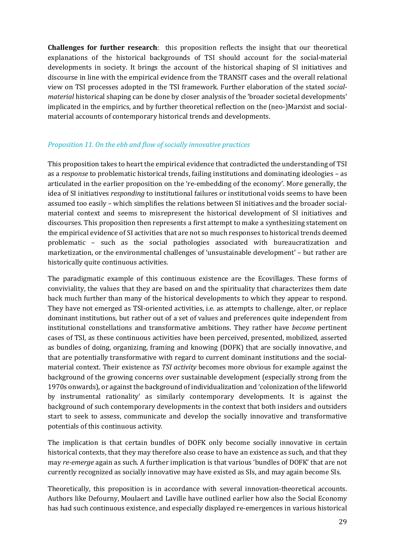**Challenges for further research**: this proposition reflects the insight that our theoretical explanations of the historical backgrounds of TSI should account for the social-material developments in society. It brings the account of the historical shaping of SI initiatives and discourse in line with the empirical evidence from the TRANSIT cases and the overall relational view on TSI processes adopted in the TSI framework. Further elaboration of the stated *socialmaterial* historical shaping can be done by closer analysis of the 'broader societal developments' implicated in the empirics, and by further theoretical reflection on the (neo-)Marxist and socialmaterial accounts of contemporary historical trends and developments.

#### *Proposition 11. On the ebb and flow of socially innovative practices*

This proposition takes to heart the empirical evidence that contradicted the understanding of TSI as a *response* to problematic historical trends, failing institutions and dominating ideologies – as articulated in the earlier proposition on the 're-embedding of the economy'. More generally, the idea of SI initiatives *responding* to institutional failures or institutional voids seems to have been assumed too easily – which simplifies the relations between SI initiatives and the broader socialmaterial context and seems to misrepresent the historical development of SI initiatives and discourses. This proposition then represents a first attempt to make a synthesizing statement on the empirical evidence of SI activities that are not so much responses to historical trends deemed problematic – such as the social pathologies associated with bureaucratization and marketization, or the environmental challenges of 'unsustainable development' – but rather are historically quite continuous activities.

The paradigmatic example of this continuous existence are the Ecovillages. These forms of conviviality, the values that they are based on and the spirituality that characterizes them date back much further than many of the historical developments to which they appear to respond. They have not emerged as TSI-oriented activities, i.e. as attempts to challenge, alter, or replace dominant institutions, but rather out of a set of values and preferences quite independent from institutional constellations and transformative ambitions. They rather have *become* pertinent cases of TSI, as these continuous activities have been perceived, presented, mobilized, asserted as bundles of doing, organizing, framing and knowing (DOFK) that are socially innovative, and that are potentially transformative with regard to current dominant institutions and the socialmaterial context. Their existence as *TSI activity* becomes more obvious for example against the background of the growing concerns over sustainable development (especially strong from the 1970s onwards), or against the background of individualization and 'colonization of the lifeworld by instrumental rationality' as similarly contemporary developments. It is against the background of such contemporary developments in the context that both insiders and outsiders start to seek to assess, communicate and develop the socially innovative and transformative potentials of this continuous activity.

The implication is that certain bundles of DOFK only become socially innovative in certain historical contexts, that they may therefore also cease to have an existence as such, and that they may *re-emerge* again as such. A further implication is that various 'bundles of DOFK' that are not currently recognized as socially innovative may have existed as SIs, and may again become SIs.

Theoretically, this proposition is in accordance with several innovation-theoretical accounts. Authors like Defourny, Moulaert and Laville have outlined earlier how also the Social Economy has had such continuous existence, and especially displayed re-emergences in various historical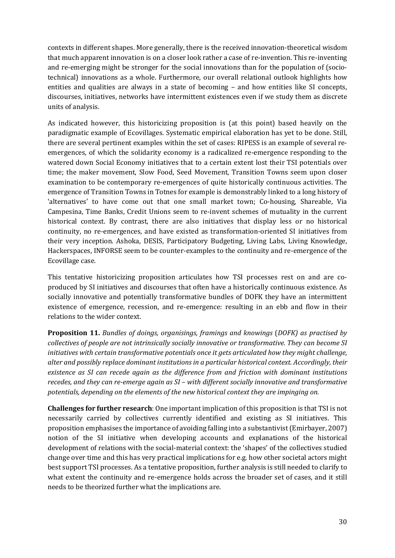contexts in different shapes. More generally, there is the received innovation-theoretical wisdom that much apparent innovation is on a closer look rather a case of re-invention. This re-inventing and re-emerging might be stronger for the social innovations than for the population of (sociotechnical) innovations as a whole. Furthermore, our overall relational outlook highlights how entities and qualities are always in a state of becoming – and how entities like SI concepts, discourses, initiatives, networks have intermittent existences even if we study them as discrete units of analysis.

As indicated however, this historicizing proposition is (at this point) based heavily on the paradigmatic example of Ecovillages. Systematic empirical elaboration has yet to be done. Still, there are several pertinent examples within the set of cases: RIPESS is an example of several reemergences, of which the solidarity economy is a radicalized re-emergence responding to the watered down Social Economy initiatives that to a certain extent lost their TSI potentials over time; the maker movement, Slow Food, Seed Movement, Transition Towns seem upon closer examination to be contemporary re-emergences of quite historically continuous activities. The emergence of Transition Towns in Totnes for example is demonstrably linked to a long history of 'alternatives' to have come out that one small market town; Co-housing, Shareable, Via Campesina, Time Banks, Credit Unions seem to re-invent schemes of mutuality in the current historical context. By contrast, there are also initiatives that display less or no historical continuity, no re-emergences, and have existed as transformation-oriented SI initiatives from their very inception. Ashoka, DESIS, Participatory Budgeting, Living Labs, Living Knowledge, Hackerspaces, INFORSE seem to be counter-examples to the continuity and re-emergence of the Ecovillage case.

This tentative historicizing proposition articulates how TSI processes rest on and are coproduced by SI initiatives and discourses that often have a historically continuous existence. As socially innovative and potentially transformative bundles of DOFK they have an intermittent existence of emergence, recession, and re-emergence: resulting in an ebb and flow in their relations to the wider context.

**Proposition 11.** *Bundles of doings, organisings, framings and knowings* (*DOFK) as practised by collectives of people are not intrinsically socially innovative or transformative. They can become SI initiatives with certain transformative potentials once it gets articulated how they might challenge, alter and possibly replace dominant institutions in a particular historical context. Accordingly, their existence as SI can recede again as the difference from and friction with dominant institutions recedes, and they can re-emerge again as SI – with different socially innovative and transformative potentials, depending on the elements of the new historical context they are impinging on.*

**Challenges for further research**: One important implication of this proposition is that TSI is not necessarily carried by collectives currently identified and existing as SI initiatives. This proposition emphasises the importance of avoiding falling into a substantivist (Emirbayer, 2007) notion of the SI initiative when developing accounts and explanations of the historical development of relations with the social-material context: the 'shapes' of the collectives studied change over time and this has very practical implications for e.g. how other societal actors might best support TSI processes. As a tentative proposition, further analysis is still needed to clarify to what extent the continuity and re-emergence holds across the broader set of cases, and it still needs to be theorized further what the implications are.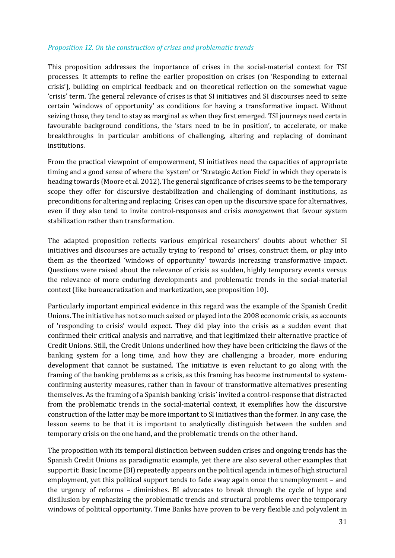#### *Proposition 12. On the construction of crises and problematic trends*

This proposition addresses the importance of crises in the social-material context for TSI processes. It attempts to refine the earlier proposition on crises (on 'Responding to external crisis'), building on empirical feedback and on theoretical reflection on the somewhat vague 'crisis' term. The general relevance of crises is that SI initiatives and SI discourses need to seize certain 'windows of opportunity' as conditions for having a transformative impact. Without seizing those, they tend to stay as marginal as when they first emerged. TSI journeys need certain favourable background conditions, the 'stars need to be in position', to accelerate, or make breakthroughs in particular ambitions of challenging, altering and replacing of dominant institutions.

From the practical viewpoint of empowerment, SI initiatives need the capacities of appropriate timing and a good sense of where the 'system' or 'Strategic Action Field' in which they operate is heading towards (Moore et al. 2012). The general significance of crises seems to be the temporary scope they offer for discursive destabilization and challenging of dominant institutions, as preconditions for altering and replacing. Crises can open up the discursive space for alternatives, even if they also tend to invite control-responses and crisis *management* that favour system stabilization rather than transformation.

The adapted proposition reflects various empirical researchers' doubts about whether SI initiatives and discourses are actually trying to 'respond to' crises, construct them, or play into them as the theorized 'windows of opportunity' towards increasing transformative impact. Questions were raised about the relevance of crisis as sudden, highly temporary events versus the relevance of more enduring developments and problematic trends in the social-material context (like bureaucratization and marketization, see proposition 10).

Particularly important empirical evidence in this regard was the example of the Spanish Credit Unions. The initiative has not so much seized or played into the 2008 economic crisis, as accounts of 'responding to crisis' would expect. They did play into the crisis as a sudden event that confirmed their critical analysis and narrative, and that legitimized their alternative practice of Credit Unions. Still, the Credit Unions underlined how they have been criticizing the flaws of the banking system for a long time, and how they are challenging a broader, more enduring development that cannot be sustained. The initiative is even reluctant to go along with the framing of the banking problems as a crisis, as this framing has become instrumental to systemconfirming austerity measures, rather than in favour of transformative alternatives presenting themselves. As the framing of a Spanish banking 'crisis' invited a control-response that distracted from the problematic trends in the social-material context, it exemplifies how the discursive construction of the latter may be more important to SI initiatives than the former. In any case, the lesson seems to be that it is important to analytically distinguish between the sudden and temporary crisis on the one hand, and the problematic trends on the other hand.

The proposition with its temporal distinction between sudden crises and ongoing trends has the Spanish Credit Unions as paradigmatic example, yet there are also several other examples that support it: Basic Income (BI) repeatedly appears on the political agenda in times of high structural employment, yet this political support tends to fade away again once the unemployment – and the urgency of reforms – diminishes. BI advocates to break through the cycle of hype and disillusion by emphasizing the problematic trends and structural problems over the temporary windows of political opportunity. Time Banks have proven to be very flexible and polyvalent in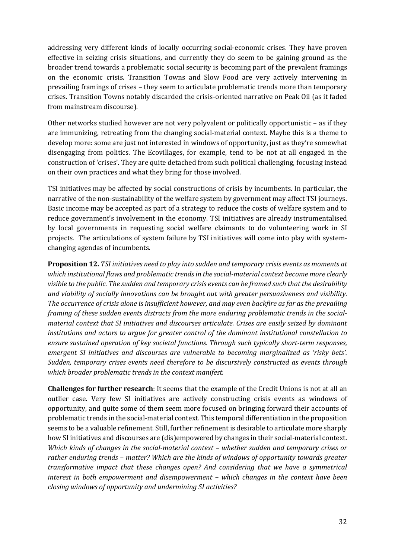addressing very different kinds of locally occurring social-economic crises. They have proven effective in seizing crisis situations, and currently they do seem to be gaining ground as the broader trend towards a problematic social security is becoming part of the prevalent framings on the economic crisis. Transition Towns and Slow Food are very actively intervening in prevailing framings of crises – they seem to articulate problematic trends more than temporary crises. Transition Towns notably discarded the crisis-oriented narrative on Peak Oil (as it faded from mainstream discourse).

Other networks studied however are not very polyvalent or politically opportunistic – as if they are immunizing, retreating from the changing social-material context. Maybe this is a theme to develop more: some are just not interested in windows of opportunity, just as they're somewhat disengaging from politics. The Ecovillages, for example, tend to be not at all engaged in the construction of 'crises'. They are quite detached from such political challenging, focusing instead on their own practices and what they bring for those involved.

TSI initiatives may be affected by social constructions of crisis by incumbents. In particular, the narrative of the non-sustainability of the welfare system by government may affect TSI journeys. Basic income may be accepted as part of a strategy to reduce the costs of welfare system and to reduce government's involvement in the economy. TSI initiatives are already instrumentalised by local governments in requesting social welfare claimants to do volunteering work in SI projects. The articulations of system failure by TSI initiatives will come into play with systemchanging agendas of incumbents.

**Proposition 12.** *TSI initiatives need to play into sudden and temporary crisis events as moments at which institutional flaws and problematic trends in the social-material context become more clearly visible to the public. The sudden and temporary crisis events can be framed such that the desirability and viability of socially innovations can be brought out with greater persuasiveness and visibility. The occurrence of crisis alone is insufficient however, and may even backfire as far as the prevailing framing of these sudden events distracts from the more enduring problematic trends in the socialmaterial context that SI initiatives and discourses articulate. Crises are easily seized by dominant institutions and actors to argue for greater control of the dominant institutional constellation to ensure sustained operation of key societal functions. Through such typically short-term responses, emergent SI initiatives and discourses are vulnerable to becoming marginalized as 'risky bets'. Sudden, temporary crises events need therefore to be discursively constructed as events through which broader problematic trends in the context manifest.* 

**Challenges for further research**: It seems that the example of the Credit Unions is not at all an outlier case. Very few SI initiatives are actively constructing crisis events as windows of opportunity, and quite some of them seem more focused on bringing forward their accounts of problematic trends in the social-material context. This temporal differentiation in the proposition seems to be a valuable refinement. Still, further refinement is desirable to articulate more sharply how SI initiatives and discourses are (dis)empowered by changes in their social-material context. *Which kinds of changes in the social-material context – whether sudden and temporary crises or rather enduring trends – matter? Which are the kinds of windows of opportunity towards greater transformative impact that these changes open? And considering that we have a symmetrical interest in both empowerment and disempowerment – which changes in the context have been closing windows of opportunity and undermining SI activities?*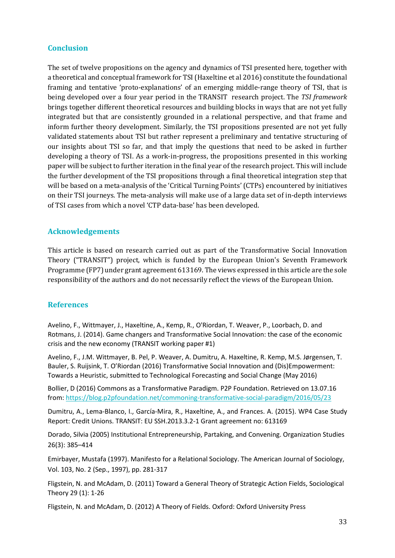## **Conclusion**

The set of twelve propositions on the agency and dynamics of TSI presented here, together with a theoretical and conceptual framework for TSI (Haxeltine et al 2016) constitute the foundational framing and tentative 'proto-explanations' of an emerging middle-range theory of TSI, that is being developed over a four year period in the TRANSIT research project. The *TSI framework* brings together different theoretical resources and building blocks in ways that are not yet fully integrated but that are consistently grounded in a relational perspective, and that frame and inform further theory development. Similarly, the TSI propositions presented are not yet fully validated statements about TSI but rather represent a preliminary and tentative structuring of our insights about TSI so far, and that imply the questions that need to be asked in further developing a theory of TSI. As a work-in-progress, the propositions presented in this working paper will be subject to further iteration in the final year of the research project. This will include the further development of the TSI propositions through a final theoretical integration step that will be based on a meta-analysis of the 'Critical Turning Points' (CTPs) encountered by initiatives on their TSI journeys. The meta-analysis will make use of a large data set of in-depth interviews of TSI cases from which a novel 'CTP data-base' has been developed.

#### **Acknowledgements**

This article is based on research carried out as part of the Transformative Social Innovation Theory ("TRANSIT") project, which is funded by the European Union's Seventh Framework Programme (FP7) under grant agreement 613169. The views expressed in this article are the sole responsibility of the authors and do not necessarily reflect the views of the European Union.

#### **References**

Avelino, F., Wittmayer, J., Haxeltine, A., Kemp, R., O'Riordan, T. Weaver, P., Loorbach, D. and Rotmans, J. (2014). Game changers and Transformative Social Innovation: the case of the economic crisis and the new economy (TRANSIT working paper #1)

Avelino, F., J.M. Wittmayer, B. Pel, P. Weaver, A. Dumitru, A. Haxeltine, R. Kemp, M.S. Jørgensen, T. Bauler, S. Ruijsink, T. O'Riordan (2016) Transformative Social Innovation and (Dis)Empowerment: Towards a Heuristic, submitted to Technological Forecasting and Social Change (May 2016)

Bollier, D (2016) Commons as a Transformative Paradigm. P2P Foundation. Retrieved on 13.07.16 from:<https://blog.p2pfoundation.net/commoning-transformative-social-paradigm/2016/05/23>

Dumitru, A., Lema-Blanco, I., García-Mira, R., Haxeltine, A., and Frances. A. (2015). WP4 Case Study Report: Credit Unions. TRANSIT: EU SSH.2013.3.2-1 Grant agreement no: 613169

Dorado, Silvia (2005) Institutional Entrepreneurship, Partaking, and Convening. Organization Studies 26(3): 385–414

Emirbayer, Mustafa (1997). Manifesto for a Relational Sociology. The American Journal of Sociology, Vol. 103, No. 2 (Sep., 1997), pp. 281-317

Fligstein, N. and McAdam, D. (2011) Toward a General Theory of Strategic Action Fields, Sociological Theory 29 (1): 1-26

Fligstein, N. and McAdam, D. (2012) A Theory of Fields. Oxford: Oxford University Press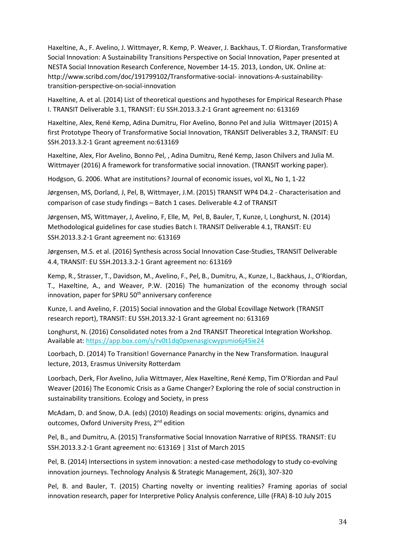Haxeltine, A., F. Avelino, J. Wittmayer, R. Kemp, P. Weaver, J. Backhaus, T. O ́Riordan, Transformative Social Innovation: A Sustainability Transitions Perspective on Social Innovation, Paper presented at NESTA Social Innovation Research Conference, November 14-15. 2013, London, UK. Online at: http://www.scribd.com/doc/191799102/Transformative-social- innovations-A-sustainabilitytransition-perspective-on-social-innovation

Haxeltine, A. et al. (2014) List of theoretical questions and hypotheses for Empirical Research Phase I. TRANSIT Deliverable 3.1, TRANSIT: EU SSH.2013.3.2-1 Grant agreement no: 613169

Haxeltine, Alex, René Kemp, Adina Dumitru, Flor Avelino, Bonno Pel and Julia Wittmayer (2015) A first Prototype Theory of Transformative Social Innovation, TRANSIT Deliverables 3.2, TRANSIT: EU SSH.2013.3.2-1 Grant agreement no:613169

Haxeltine, Alex, Flor Avelino, Bonno Pel, , Adina Dumitru, René Kemp, Jason Chilvers and Julia M. Wittmayer (2016) A framework for transformative social innovation. (TRANSIT working paper).

Hodgson, G. 2006. What are institutions? Journal of economic issues, vol XL, No 1, 1-22

Jørgensen, MS, Dorland, J, Pel, B, Wittmayer, J.M. (2015) TRANSIT WP4 D4.2 - Characterisation and comparison of case study findings – Batch 1 cases. Deliverable 4.2 of TRANSIT

Jørgensen, MS, Wittmayer, J, Avelino, F, Elle, M, Pel, B, Bauler, T, Kunze, I, Longhurst, N. (2014) Methodological guidelines for case studies Batch I. TRANSIT Deliverable 4.1, TRANSIT: EU SSH.2013.3.2-1 Grant agreement no: 613169

Jørgensen, M.S. et al. (2016) Synthesis across Social Innovation Case-Studies, TRANSIT Deliverable 4.4, TRANSIT: EU SSH.2013.3.2-1 Grant agreement no: 613169

Kemp, R., Strasser, T., Davidson, M., Avelino, F., Pel, B., Dumitru, A., Kunze, I., Backhaus, J., O'Riordan, T., Haxeltine, A., and Weaver, P.W. (2016) The humanization of the economy through social innovation, paper for SPRU 50<sup>th</sup> anniversary conference

Kunze, I. and Avelino, F. (2015) Social innovation and the Global Ecovillage Network (TRANSIT research report), TRANSIT: EU SSH.2013.32-1 Grant agreement no: 613169

Longhurst, N. (2016) Consolidated notes from a 2nd TRANSIT Theoretical Integration Workshop. Available at[: https://app.box.com/s/rv0t1dq0pxenasgicwypsmio6j45ie24](https://app.box.com/s/rv0t1dq0pxenasgicwypsmio6j45ie24)

Loorbach, D. (2014) To Transition! Governance Panarchy in the New Transformation. Inaugural lecture, 2013, Erasmus University Rotterdam

Loorbach, Derk, Flor Avelino, Julia Wittmayer, Alex Haxeltine, René Kemp, Tim O'Riordan and Paul Weaver (2016) The Economic Crisis as a Game Changer? Exploring the role of social construction in sustainability transitions. Ecology and Society, in press

McAdam, D. and Snow, D.A. (eds) (2010) Readings on social movements: origins, dynamics and outcomes, Oxford University Press, 2<sup>nd</sup> edition

Pel, B., and Dumitru, A. (2015) Transformative Social Innovation Narrative of RIPESS. TRANSIT: EU SSH.2013.3.2-1 Grant agreement no: 613169 | 31st of March 2015

Pel, B. (2014) Intersections in system innovation: a nested-case methodology to study co-evolving innovation journeys. Technology Analysis & Strategic Management, 26(3), 307-320

Pel, B. and Bauler, T. (2015) Charting novelty or inventing realities? Framing aporias of social innovation research, paper for Interpretive Policy Analysis conference, Lille (FRA) 8-10 July 2015